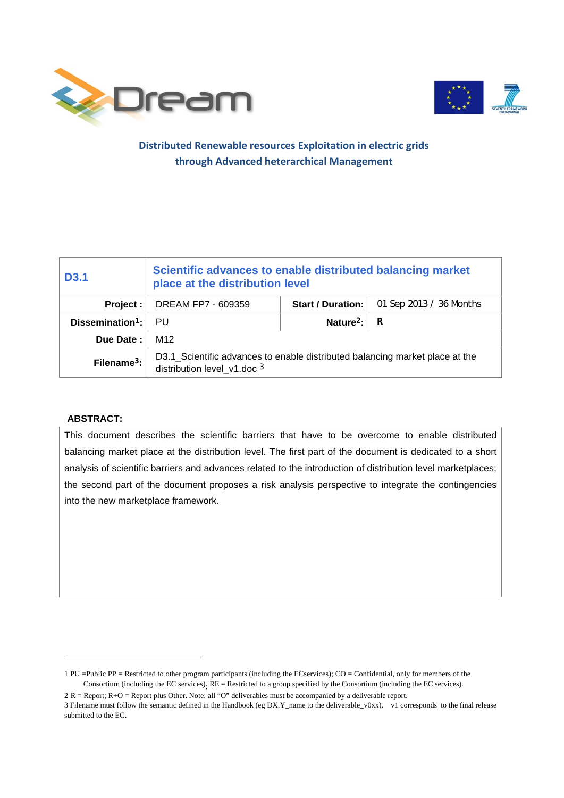



## **Distributed Renewable resources Exploitation in electric grids through Advanced heterarchical Management**

| <b>D3.1</b>                  | Scientific advances to enable distributed balancing market<br>place at the distribution level                    |   |  |  |  |  |
|------------------------------|------------------------------------------------------------------------------------------------------------------|---|--|--|--|--|
| Project :                    | <b>Start / Duration:</b><br>01 Sep 2013 / 36 Months<br>DREAM FP7 - 609359                                        |   |  |  |  |  |
| Dissemination <sup>1</sup> : | PU                                                                                                               | R |  |  |  |  |
| Due Date:                    | M12                                                                                                              |   |  |  |  |  |
| Filename $3$ :               | D3.1_Scientific advances to enable distributed balancing market place at the<br>distribution level $v1$ .doc $3$ |   |  |  |  |  |

#### **ABSTRACT:**

l

This document describes the scientific barriers that have to be overcome to enable distributed balancing market place at the distribution level. The first part of the document is dedicated to a short analysis of scientific barriers and advances related to the introduction of distribution level marketplaces; the second part of the document proposes a risk analysis perspective to integrate the contingencies into the new marketplace framework.

<sup>1</sup> PU =Public PP = Restricted to other program participants (including the ECservices); CO = Confidential, only for members of the Consortium (including the EC services).  $RE =$  Restricted to a group specified by the Consortium (including the EC services).

<sup>2</sup> R = Report; R+O = Report plus Other. Note: all "O" deliverables must be accompanied by a deliverable report.

<sup>3</sup> Filename must follow the semantic defined in the Handbook (eg DX.Y\_name to the deliverable\_v0xx). v1 corresponds to the final release submitted to the EC.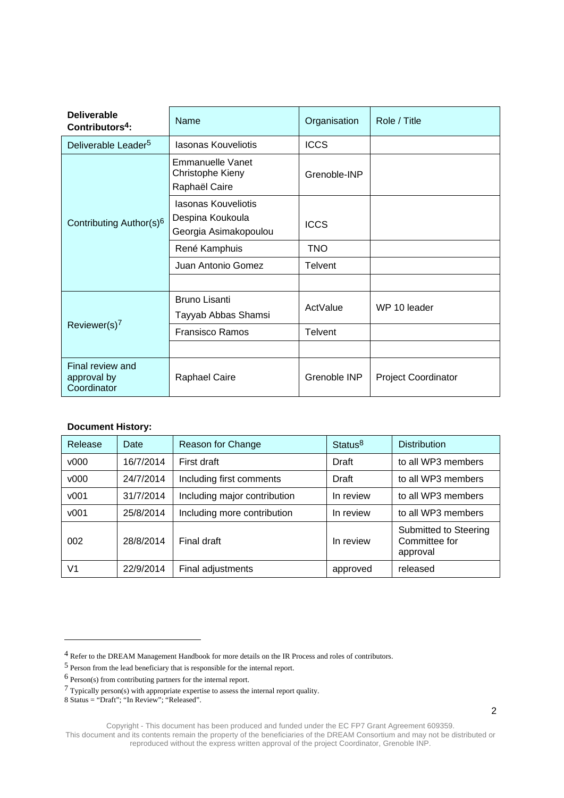| <b>Deliverable</b><br>Contributors <sup>4</sup> : | Name                                                             | Organisation   | Role / Title               |
|---------------------------------------------------|------------------------------------------------------------------|----------------|----------------------------|
| Deliverable Leader <sup>5</sup>                   | <b>lasonas Kouveliotis</b>                                       | <b>ICCS</b>    |                            |
|                                                   | Emmanuelle Vanet<br>Christophe Kieny<br>Raphaël Caire            | Grenoble-INP   |                            |
| Contributing Author(s) <sup>6</sup>               | Iasonas Kouveliotis<br>Despina Koukoula<br>Georgia Asimakopoulou | <b>ICCS</b>    |                            |
|                                                   | René Kamphuis                                                    | <b>TNO</b>     |                            |
|                                                   | Juan Antonio Gomez                                               | <b>Telvent</b> |                            |
|                                                   |                                                                  |                |                            |
|                                                   | <b>Bruno Lisanti</b><br>Tayyab Abbas Shamsi                      | ActValue       | WP 10 leader               |
| Reviewer(s) $7$                                   | <b>Fransisco Ramos</b>                                           | <b>Telvent</b> |                            |
|                                                   |                                                                  |                |                            |
| Final review and<br>approval by<br>Coordinator    | <b>Raphael Caire</b>                                             | Grenoble INP   | <b>Project Coordinator</b> |

### **Document History:**

| Release          | Date                     | Reason for Change            | Status <sup>8</sup> | <b>Distribution</b>                                |
|------------------|--------------------------|------------------------------|---------------------|----------------------------------------------------|
| v000             | 16/7/2014                | First draft                  | Draft               | to all WP3 members                                 |
| v000             | 24/7/2014                | Including first comments     | Draft               | to all WP3 members                                 |
| v <sub>001</sub> | 31/7/2014                | Including major contribution | In review           | to all WP3 members                                 |
| v <sub>001</sub> | 25/8/2014                | Including more contribution  | In review           | to all WP3 members                                 |
| 002              | Final draft<br>28/8/2014 |                              | In review           | Submitted to Steering<br>Committee for<br>approval |
| V1               | 22/9/2014                | Final adjustments            | approved            | released                                           |

l

<sup>4</sup> Refer to the DREAM Management Handbook for more details on the IR Process and roles of contributors.

<sup>5</sup> Person from the lead beneficiary that is responsible for the internal report.

<sup>6</sup> Person(s) from contributing partners for the internal report.

<sup>7</sup> Typically person(s) with appropriate expertise to assess the internal report quality.

<sup>8</sup> Status = "Draft"; "In Review"; "Released".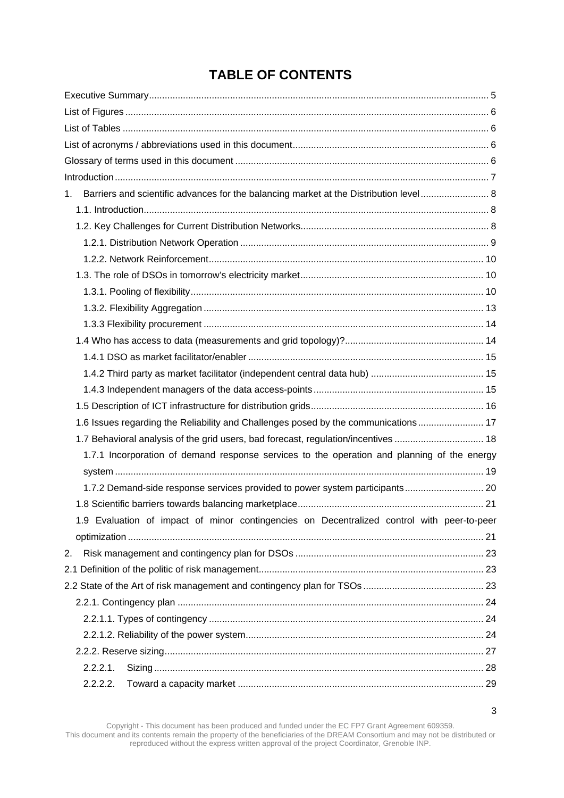# **TABLE OF CONTENTS**

| Barriers and scientific advances for the balancing market at the Distribution level 8<br>1. |  |
|---------------------------------------------------------------------------------------------|--|
|                                                                                             |  |
|                                                                                             |  |
|                                                                                             |  |
|                                                                                             |  |
|                                                                                             |  |
|                                                                                             |  |
|                                                                                             |  |
|                                                                                             |  |
|                                                                                             |  |
|                                                                                             |  |
|                                                                                             |  |
|                                                                                             |  |
|                                                                                             |  |
| 1.6 Issues regarding the Reliability and Challenges posed by the communications 17          |  |
| 1.7 Behavioral analysis of the grid users, bad forecast, regulation/incentives  18          |  |
| 1.7.1 Incorporation of demand response services to the operation and planning of the energy |  |
|                                                                                             |  |
|                                                                                             |  |
|                                                                                             |  |
| 1.9 Evaluation of impact of minor contingencies on Decentralized control with peer-to-peer  |  |
|                                                                                             |  |
| 2.                                                                                          |  |
|                                                                                             |  |
|                                                                                             |  |
|                                                                                             |  |
|                                                                                             |  |
|                                                                                             |  |
|                                                                                             |  |
| $2.2.2.1$ .                                                                                 |  |
| 2.2.2.2.                                                                                    |  |

Copyright - This document has been produced and funded under the EC FP7 Grant Agreement 609359. This document and its contents remain the property of the beneficiaries of the DREAM Consortium and may not be distributed or reproduced without the express written approval of the project Coordinator, Grenoble INP.

<sup>3</sup>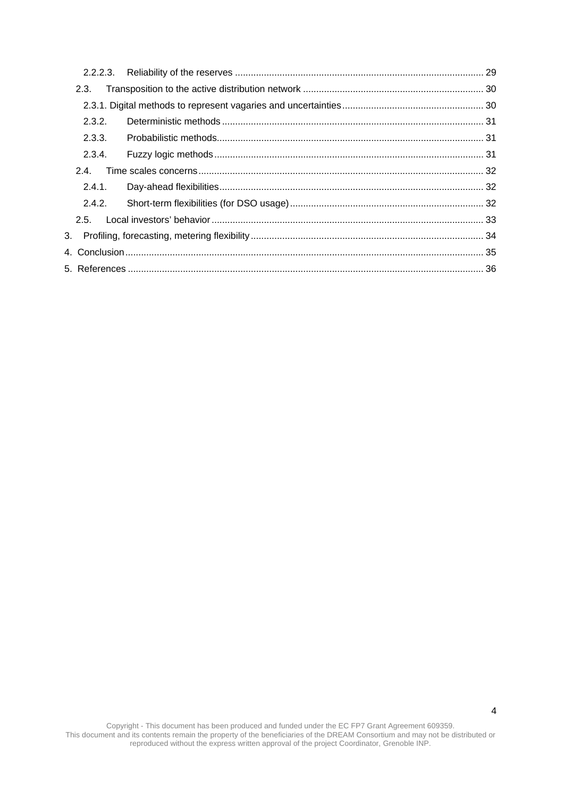| 2.3.   |  |
|--------|--|
|        |  |
| 2.3.2. |  |
| 2.3.3. |  |
| 2.3.4. |  |
| 24     |  |
| 2.4.1. |  |
| 2.4.2  |  |
|        |  |
|        |  |
|        |  |
|        |  |
|        |  |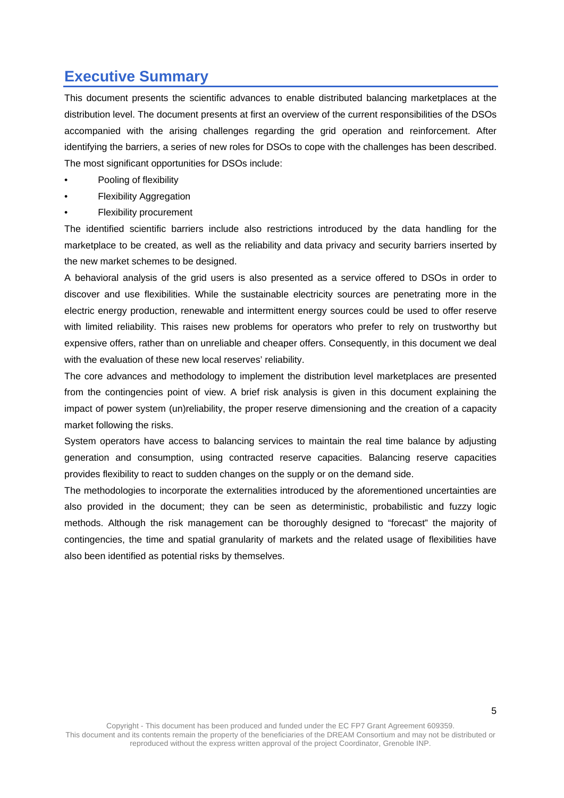# **Executive Summary**

This document presents the scientific advances to enable distributed balancing marketplaces at the distribution level. The document presents at first an overview of the current responsibilities of the DSOs accompanied with the arising challenges regarding the grid operation and reinforcement. After identifying the barriers, a series of new roles for DSOs to cope with the challenges has been described. The most significant opportunities for DSOs include:

- Pooling of flexibility
- **Flexibility Aggregation**
- Flexibility procurement

The identified scientific barriers include also restrictions introduced by the data handling for the marketplace to be created, as well as the reliability and data privacy and security barriers inserted by the new market schemes to be designed.

A behavioral analysis of the grid users is also presented as a service offered to DSOs in order to discover and use flexibilities. While the sustainable electricity sources are penetrating more in the electric energy production, renewable and intermittent energy sources could be used to offer reserve with limited reliability. This raises new problems for operators who prefer to rely on trustworthy but expensive offers, rather than on unreliable and cheaper offers. Consequently, in this document we deal with the evaluation of these new local reserves' reliability.

The core advances and methodology to implement the distribution level marketplaces are presented from the contingencies point of view. A brief risk analysis is given in this document explaining the impact of power system (un)reliability, the proper reserve dimensioning and the creation of a capacity market following the risks.

System operators have access to balancing services to maintain the real time balance by adjusting generation and consumption, using contracted reserve capacities. Balancing reserve capacities provides flexibility to react to sudden changes on the supply or on the demand side.

The methodologies to incorporate the externalities introduced by the aforementioned uncertainties are also provided in the document; they can be seen as deterministic, probabilistic and fuzzy logic methods. Although the risk management can be thoroughly designed to "forecast" the majority of contingencies, the time and spatial granularity of markets and the related usage of flexibilities have also been identified as potential risks by themselves.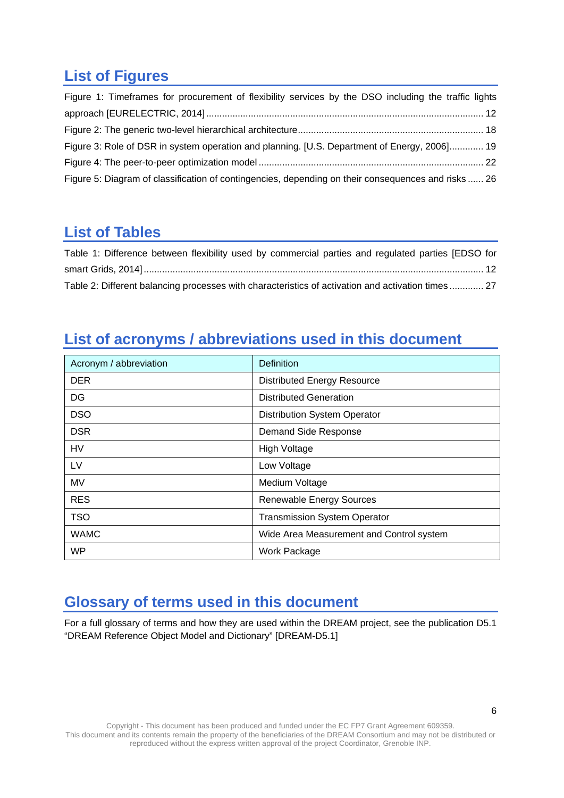# **List of Figures**

| Figure 1: Timeframes for procurement of flexibility services by the DSO including the traffic lights |  |
|------------------------------------------------------------------------------------------------------|--|
|                                                                                                      |  |
|                                                                                                      |  |
| Figure 3: Role of DSR in system operation and planning. [U.S. Department of Energy, 2006] 19         |  |
|                                                                                                      |  |
| Figure 5: Diagram of classification of contingencies, depending on their consequences and risks  26  |  |

# **List of Tables**

| Table 1: Difference between flexibility used by commercial parties and regulated parties [EDSO for |  |
|----------------------------------------------------------------------------------------------------|--|
|                                                                                                    |  |
| Table 2: Different balancing processes with characteristics of activation and activation times 27  |  |

# **List of acronyms / abbreviations used in this document**

| Acronym / abbreviation | Definition                               |
|------------------------|------------------------------------------|
| <b>DER</b>             | <b>Distributed Energy Resource</b>       |
| DG                     | <b>Distributed Generation</b>            |
| <b>DSO</b>             | <b>Distribution System Operator</b>      |
| <b>DSR</b>             | Demand Side Response                     |
| HV                     | <b>High Voltage</b>                      |
| LV                     | Low Voltage                              |
| <b>MV</b>              | Medium Voltage                           |
| <b>RES</b>             | <b>Renewable Energy Sources</b>          |
| <b>TSO</b>             | <b>Transmission System Operator</b>      |
| <b>WAMC</b>            | Wide Area Measurement and Control system |
| <b>WP</b>              | Work Package                             |

# **Glossary of terms used in this document**

For a full glossary of terms and how they are used within the DREAM project, see the publication D5.1 "DREAM Reference Object Model and Dictionary" [DREAM-D5.1]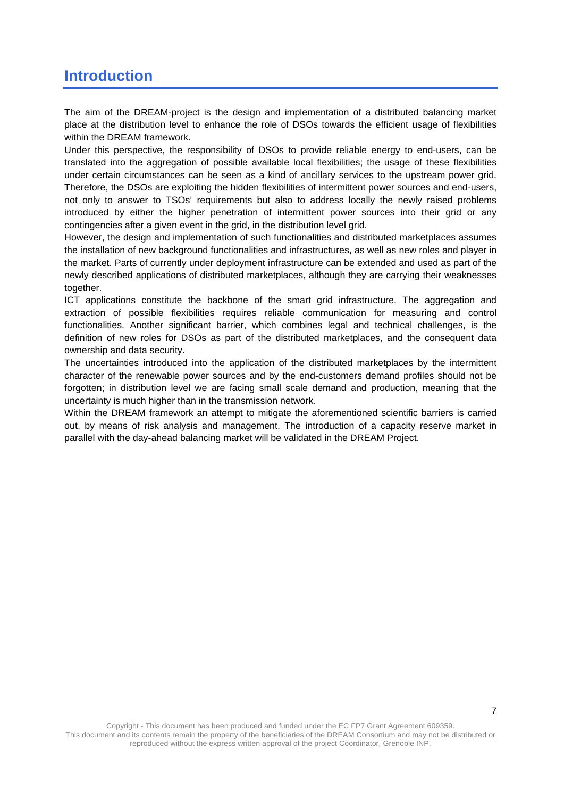# **Introduction**

The aim of the DREAM-project is the design and implementation of a distributed balancing market place at the distribution level to enhance the role of DSOs towards the efficient usage of flexibilities within the DREAM framework.

Under this perspective, the responsibility of DSOs to provide reliable energy to end-users, can be translated into the aggregation of possible available local flexibilities; the usage of these flexibilities under certain circumstances can be seen as a kind of ancillary services to the upstream power grid. Therefore, the DSOs are exploiting the hidden flexibilities of intermittent power sources and end-users, not only to answer to TSOs' requirements but also to address locally the newly raised problems introduced by either the higher penetration of intermittent power sources into their grid or any contingencies after a given event in the grid, in the distribution level grid.

However, the design and implementation of such functionalities and distributed marketplaces assumes the installation of new background functionalities and infrastructures, as well as new roles and player in the market. Parts of currently under deployment infrastructure can be extended and used as part of the newly described applications of distributed marketplaces, although they are carrying their weaknesses together.

ICT applications constitute the backbone of the smart grid infrastructure. The aggregation and extraction of possible flexibilities requires reliable communication for measuring and control functionalities. Another significant barrier, which combines legal and technical challenges, is the definition of new roles for DSOs as part of the distributed marketplaces, and the consequent data ownership and data security.

The uncertainties introduced into the application of the distributed marketplaces by the intermittent character of the renewable power sources and by the end-customers demand profiles should not be forgotten; in distribution level we are facing small scale demand and production, meaning that the uncertainty is much higher than in the transmission network.

Within the DREAM framework an attempt to mitigate the aforementioned scientific barriers is carried out, by means of risk analysis and management. The introduction of a capacity reserve market in parallel with the day-ahead balancing market will be validated in the DREAM Project.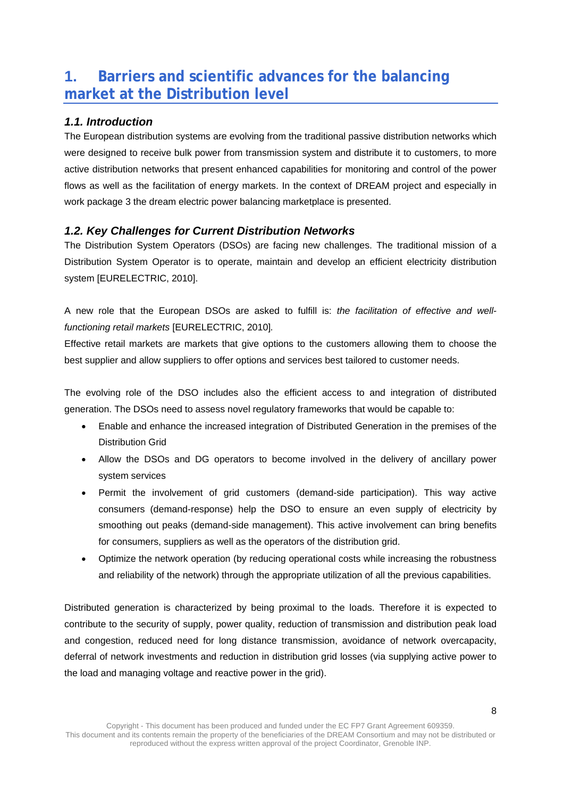# **1. Barriers and scientific advances for the balancing market at the Distribution level**

## *1.1. Introduction*

The European distribution systems are evolving from the traditional passive distribution networks which were designed to receive bulk power from transmission system and distribute it to customers, to more active distribution networks that present enhanced capabilities for monitoring and control of the power flows as well as the facilitation of energy markets. In the context of DREAM project and especially in work package 3 the dream electric power balancing marketplace is presented.

## *1.2. Key Challenges for Current Distribution Networks*

The Distribution System Operators (DSOs) are facing new challenges. The traditional mission of a Distribution System Operator is to operate, maintain and develop an efficient electricity distribution system [EURELECTRIC, 2010].

A new role that the European DSOs are asked to fulfill is: *the facilitation of effective and wellfunctioning retail markets* [EURELECTRIC, 2010]*.* 

Effective retail markets are markets that give options to the customers allowing them to choose the best supplier and allow suppliers to offer options and services best tailored to customer needs.

The evolving role of the DSO includes also the efficient access to and integration of distributed generation. The DSOs need to assess novel regulatory frameworks that would be capable to:

- Enable and enhance the increased integration of Distributed Generation in the premises of the Distribution Grid
- Allow the DSOs and DG operators to become involved in the delivery of ancillary power system services
- Permit the involvement of grid customers (demand-side participation). This way active consumers (demand-response) help the DSO to ensure an even supply of electricity by smoothing out peaks (demand-side management). This active involvement can bring benefits for consumers, suppliers as well as the operators of the distribution grid.
- Optimize the network operation (by reducing operational costs while increasing the robustness and reliability of the network) through the appropriate utilization of all the previous capabilities.

Distributed generation is characterized by being proximal to the loads. Therefore it is expected to contribute to the security of supply, power quality, reduction of transmission and distribution peak load and congestion, reduced need for long distance transmission, avoidance of network overcapacity, deferral of network investments and reduction in distribution grid losses (via supplying active power to the load and managing voltage and reactive power in the grid).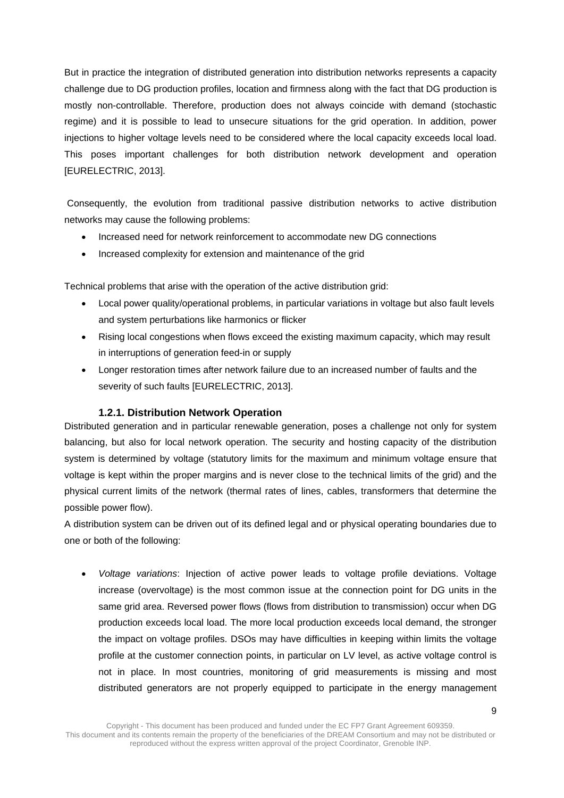But in practice the integration of distributed generation into distribution networks represents a capacity challenge due to DG production profiles, location and firmness along with the fact that DG production is mostly non-controllable. Therefore, production does not always coincide with demand (stochastic regime) and it is possible to lead to unsecure situations for the grid operation. In addition, power injections to higher voltage levels need to be considered where the local capacity exceeds local load. This poses important challenges for both distribution network development and operation [EURELECTRIC, 2013].

 Consequently, the evolution from traditional passive distribution networks to active distribution networks may cause the following problems:

- Increased need for network reinforcement to accommodate new DG connections
- Increased complexity for extension and maintenance of the grid

Technical problems that arise with the operation of the active distribution grid:

- Local power quality/operational problems, in particular variations in voltage but also fault levels and system perturbations like harmonics or flicker
- Rising local congestions when flows exceed the existing maximum capacity, which may result in interruptions of generation feed-in or supply
- Longer restoration times after network failure due to an increased number of faults and the severity of such faults [EURELECTRIC, 2013].

#### **1.2.1. Distribution Network Operation**

Distributed generation and in particular renewable generation, poses a challenge not only for system balancing, but also for local network operation. The security and hosting capacity of the distribution system is determined by voltage (statutory limits for the maximum and minimum voltage ensure that voltage is kept within the proper margins and is never close to the technical limits of the grid) and the physical current limits of the network (thermal rates of lines, cables, transformers that determine the possible power flow).

A distribution system can be driven out of its defined legal and or physical operating boundaries due to one or both of the following:

 *Voltage variations*: Injection of active power leads to voltage profile deviations. Voltage increase (overvoltage) is the most common issue at the connection point for DG units in the same grid area. Reversed power flows (flows from distribution to transmission) occur when DG production exceeds local load. The more local production exceeds local demand, the stronger the impact on voltage profiles. DSOs may have difficulties in keeping within limits the voltage profile at the customer connection points, in particular on LV level, as active voltage control is not in place. In most countries, monitoring of grid measurements is missing and most distributed generators are not properly equipped to participate in the energy management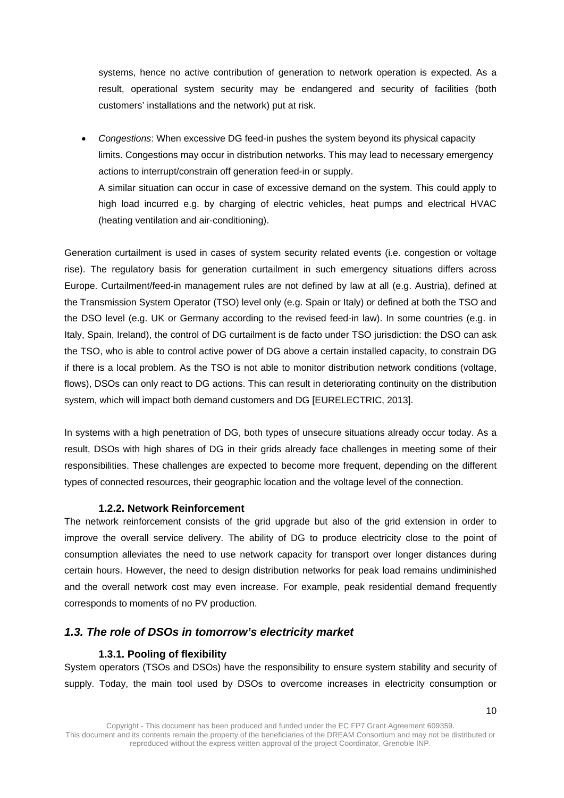systems, hence no active contribution of generation to network operation is expected. As a result, operational system security may be endangered and security of facilities (both customers' installations and the network) put at risk.

 *Congestions*: When excessive DG feed-in pushes the system beyond its physical capacity limits. Congestions may occur in distribution networks. This may lead to necessary emergency actions to interrupt/constrain off generation feed-in or supply. A similar situation can occur in case of excessive demand on the system. This could apply to high load incurred e.g. by charging of electric vehicles, heat pumps and electrical HVAC (heating ventilation and air-conditioning).

Generation curtailment is used in cases of system security related events (i.e. congestion or voltage rise). The regulatory basis for generation curtailment in such emergency situations differs across Europe. Curtailment/feed-in management rules are not defined by law at all (e.g. Austria), defined at the Transmission System Operator (TSO) level only (e.g. Spain or Italy) or defined at both the TSO and the DSO level (e.g. UK or Germany according to the revised feed-in law). In some countries (e.g. in Italy, Spain, Ireland), the control of DG curtailment is de facto under TSO jurisdiction: the DSO can ask the TSO, who is able to control active power of DG above a certain installed capacity, to constrain DG if there is a local problem. As the TSO is not able to monitor distribution network conditions (voltage, flows), DSOs can only react to DG actions. This can result in deteriorating continuity on the distribution system, which will impact both demand customers and DG [EURELECTRIC, 2013].

In systems with a high penetration of DG, both types of unsecure situations already occur today. As a result, DSOs with high shares of DG in their grids already face challenges in meeting some of their responsibilities. These challenges are expected to become more frequent, depending on the different types of connected resources, their geographic location and the voltage level of the connection.

#### **1.2.2. Network Reinforcement**

The network reinforcement consists of the grid upgrade but also of the grid extension in order to improve the overall service delivery. The ability of DG to produce electricity close to the point of consumption alleviates the need to use network capacity for transport over longer distances during certain hours. However, the need to design distribution networks for peak load remains undiminished and the overall network cost may even increase. For example, peak residential demand frequently corresponds to moments of no PV production.

#### *1.3. The role of DSOs in tomorrow's electricity market*

#### **1.3.1. Pooling of flexibility**

System operators (TSOs and DSOs) have the responsibility to ensure system stability and security of supply. Today, the main tool used by DSOs to overcome increases in electricity consumption or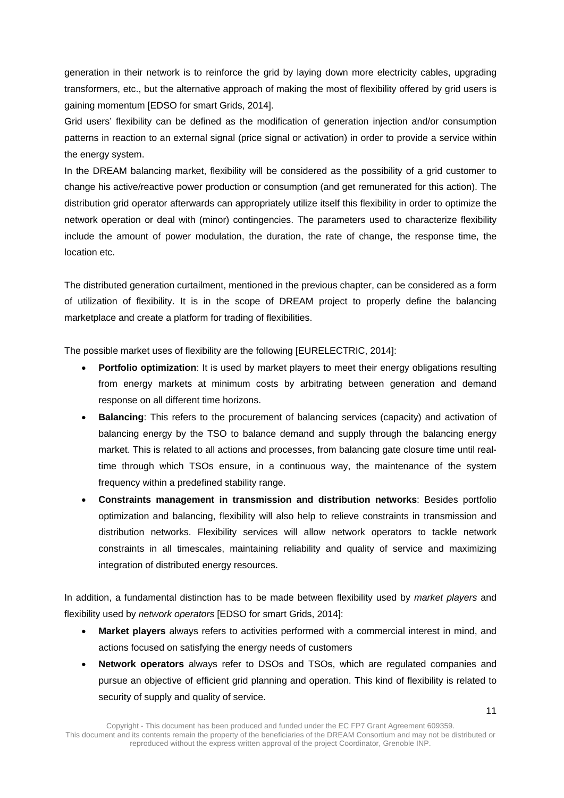generation in their network is to reinforce the grid by laying down more electricity cables, upgrading transformers, etc., but the alternative approach of making the most of flexibility offered by grid users is gaining momentum [EDSO for smart Grids, 2014].

Grid users' flexibility can be defined as the modification of generation injection and/or consumption patterns in reaction to an external signal (price signal or activation) in order to provide a service within the energy system.

In the DREAM balancing market, flexibility will be considered as the possibility of a grid customer to change his active/reactive power production or consumption (and get remunerated for this action). The distribution grid operator afterwards can appropriately utilize itself this flexibility in order to optimize the network operation or deal with (minor) contingencies. The parameters used to characterize flexibility include the amount of power modulation, the duration, the rate of change, the response time, the location etc.

The distributed generation curtailment, mentioned in the previous chapter, can be considered as a form of utilization of flexibility. It is in the scope of DREAM project to properly define the balancing marketplace and create a platform for trading of flexibilities.

The possible market uses of flexibility are the following [EURELECTRIC, 2014]:

- **Portfolio optimization**: It is used by market players to meet their energy obligations resulting from energy markets at minimum costs by arbitrating between generation and demand response on all different time horizons.
- **Balancing**: This refers to the procurement of balancing services (capacity) and activation of balancing energy by the TSO to balance demand and supply through the balancing energy market. This is related to all actions and processes, from balancing gate closure time until realtime through which TSOs ensure, in a continuous way, the maintenance of the system frequency within a predefined stability range.
- **Constraints management in transmission and distribution networks**: Besides portfolio optimization and balancing, flexibility will also help to relieve constraints in transmission and distribution networks. Flexibility services will allow network operators to tackle network constraints in all timescales, maintaining reliability and quality of service and maximizing integration of distributed energy resources.

In addition, a fundamental distinction has to be made between flexibility used by *market players* and flexibility used by *network operators* [EDSO for smart Grids, 2014]:

- **Market players** always refers to activities performed with a commercial interest in mind, and actions focused on satisfying the energy needs of customers
- **Network operators** always refer to DSOs and TSOs, which are regulated companies and pursue an objective of efficient grid planning and operation. This kind of flexibility is related to security of supply and quality of service.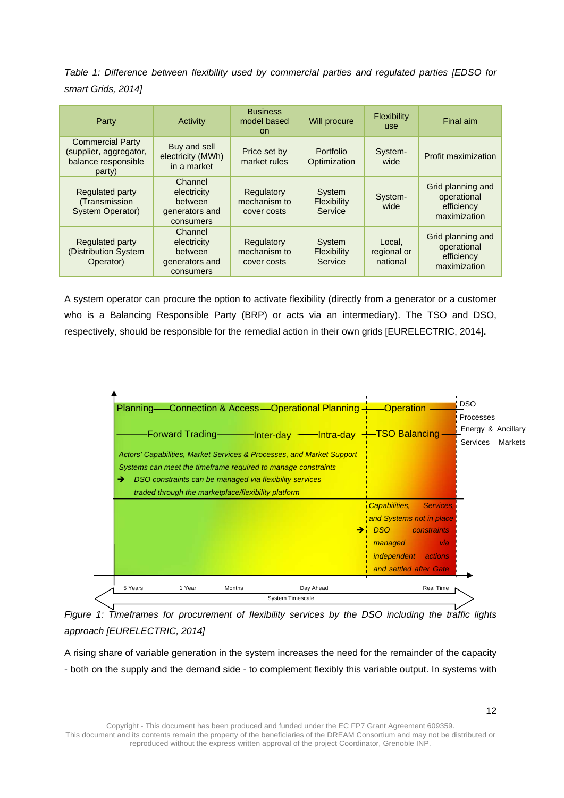*Table 1: Difference between flexibility used by commercial parties and regulated parties [EDSO for smart Grids, 2014]* 

| Party                                                                              | Activity                                                         | <b>Business</b><br>model based<br>on.     | Will procure                     | <b>Flexibility</b><br><b>use</b>  | Final aim                                                      |
|------------------------------------------------------------------------------------|------------------------------------------------------------------|-------------------------------------------|----------------------------------|-----------------------------------|----------------------------------------------------------------|
| <b>Commercial Party</b><br>(supplier, aggregator,<br>balance responsible<br>party) | Buy and sell<br>electricity (MWh)<br>in a market                 | Price set by<br>market rules              | <b>Portfolio</b><br>Optimization | System-<br>wide                   | Profit maximization                                            |
| <b>Regulated party</b><br>(Transmission)<br>System Operator)                       | Channel<br>electricity<br>between<br>generators and<br>consumers | Regulatory<br>mechanism to<br>cover costs | System<br>Flexibility<br>Service | System-<br>wide                   | Grid planning and<br>operational<br>efficiency<br>maximization |
| <b>Regulated party</b><br>(Distribution System<br>Operator)                        | Channel<br>electricity<br>between<br>generators and<br>consumers | Regulatory<br>mechanism to<br>cover costs | System<br>Flexibility<br>Service | Local,<br>regional or<br>national | Grid planning and<br>operational<br>efficiency<br>maximization |

A system operator can procure the option to activate flexibility (directly from a generator or a customer who is a Balancing Responsible Party (BRP) or acts via an intermediary). The TSO and DSO, respectively, should be responsible for the remedial action in their own grids [EURELECTRIC, 2014]**.** 



*Figure 1: Timeframes for procurement of flexibility services by the DSO including the traffic lights approach [EURELECTRIC, 2014]* 

A rising share of variable generation in the system increases the need for the remainder of the capacity - both on the supply and the demand side - to complement flexibly this variable output. In systems with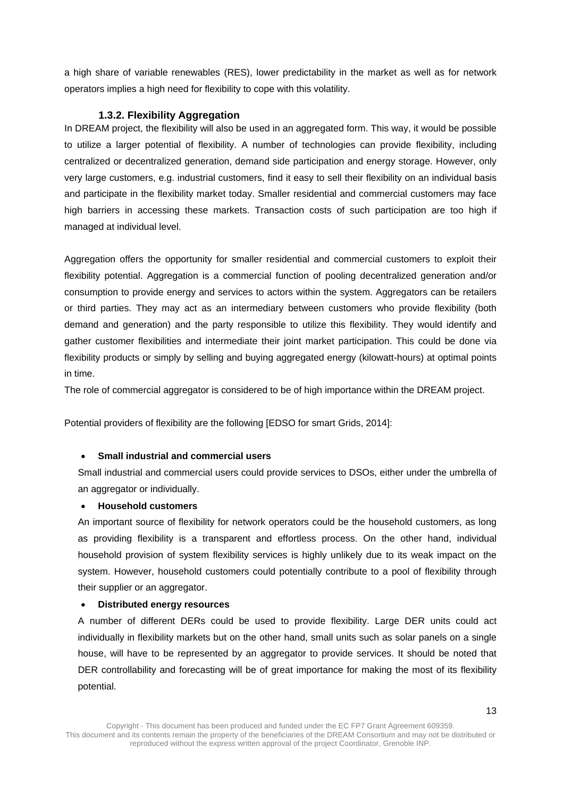a high share of variable renewables (RES), lower predictability in the market as well as for network operators implies a high need for flexibility to cope with this volatility.

#### **1.3.2. Flexibility Aggregation**

In DREAM project, the flexibility will also be used in an aggregated form. This way, it would be possible to utilize a larger potential of flexibility. A number of technologies can provide flexibility, including centralized or decentralized generation, demand side participation and energy storage. However, only very large customers, e.g. industrial customers, find it easy to sell their flexibility on an individual basis and participate in the flexibility market today. Smaller residential and commercial customers may face high barriers in accessing these markets. Transaction costs of such participation are too high if managed at individual level.

Aggregation offers the opportunity for smaller residential and commercial customers to exploit their flexibility potential. Aggregation is a commercial function of pooling decentralized generation and/or consumption to provide energy and services to actors within the system. Aggregators can be retailers or third parties. They may act as an intermediary between customers who provide flexibility (both demand and generation) and the party responsible to utilize this flexibility. They would identify and gather customer flexibilities and intermediate their joint market participation. This could be done via flexibility products or simply by selling and buying aggregated energy (kilowatt-hours) at optimal points in time.

The role of commercial aggregator is considered to be of high importance within the DREAM project.

Potential providers of flexibility are the following [EDSO for smart Grids, 2014]:

#### **Small industrial and commercial users**

Small industrial and commercial users could provide services to DSOs, either under the umbrella of an aggregator or individually.

#### **Household customers**

An important source of flexibility for network operators could be the household customers, as long as providing flexibility is a transparent and effortless process. On the other hand, individual household provision of system flexibility services is highly unlikely due to its weak impact on the system. However, household customers could potentially contribute to a pool of flexibility through their supplier or an aggregator.

#### **Distributed energy resources**

A number of different DERs could be used to provide flexibility. Large DER units could act individually in flexibility markets but on the other hand, small units such as solar panels on a single house, will have to be represented by an aggregator to provide services. It should be noted that DER controllability and forecasting will be of great importance for making the most of its flexibility potential.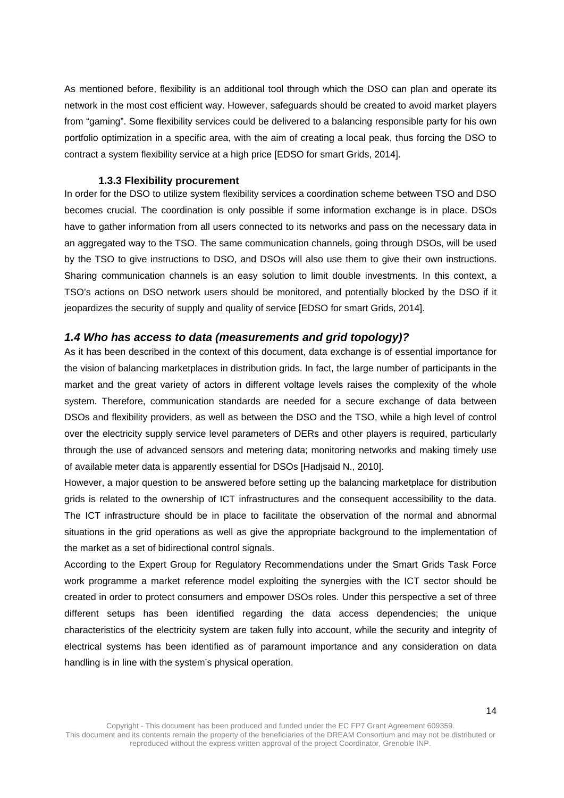As mentioned before, flexibility is an additional tool through which the DSO can plan and operate its network in the most cost efficient way. However, safeguards should be created to avoid market players from "gaming". Some flexibility services could be delivered to a balancing responsible party for his own portfolio optimization in a specific area, with the aim of creating a local peak, thus forcing the DSO to contract a system flexibility service at a high price [EDSO for smart Grids, 2014].

#### **1.3.3 Flexibility procurement**

In order for the DSO to utilize system flexibility services a coordination scheme between TSO and DSO becomes crucial. The coordination is only possible if some information exchange is in place. DSOs have to gather information from all users connected to its networks and pass on the necessary data in an aggregated way to the TSO. The same communication channels, going through DSOs, will be used by the TSO to give instructions to DSO, and DSOs will also use them to give their own instructions. Sharing communication channels is an easy solution to limit double investments. In this context, a TSO's actions on DSO network users should be monitored, and potentially blocked by the DSO if it jeopardizes the security of supply and quality of service [EDSO for smart Grids, 2014].

#### *1.4 Who has access to data (measurements and grid topology)?*

As it has been described in the context of this document, data exchange is of essential importance for the vision of balancing marketplaces in distribution grids. In fact, the large number of participants in the market and the great variety of actors in different voltage levels raises the complexity of the whole system. Therefore, communication standards are needed for a secure exchange of data between DSOs and flexibility providers, as well as between the DSO and the TSO, while a high level of control over the electricity supply service level parameters of DERs and other players is required, particularly through the use of advanced sensors and metering data; monitoring networks and making timely use of available meter data is apparently essential for DSOs [Hadjsaid N., 2010].

However, a major question to be answered before setting up the balancing marketplace for distribution grids is related to the ownership of ICT infrastructures and the consequent accessibility to the data. The ICT infrastructure should be in place to facilitate the observation of the normal and abnormal situations in the grid operations as well as give the appropriate background to the implementation of the market as a set of bidirectional control signals.

According to the Expert Group for Regulatory Recommendations under the Smart Grids Task Force work programme a market reference model exploiting the synergies with the ICT sector should be created in order to protect consumers and empower DSOs roles. Under this perspective a set of three different setups has been identified regarding the data access dependencies; the unique characteristics of the electricity system are taken fully into account, while the security and integrity of electrical systems has been identified as of paramount importance and any consideration on data handling is in line with the system's physical operation.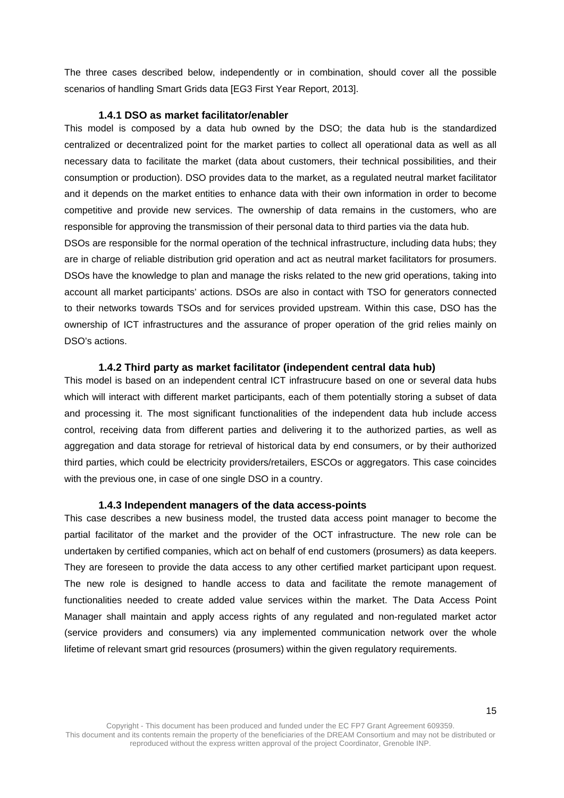The three cases described below, independently or in combination, should cover all the possible scenarios of handling Smart Grids data [EG3 First Year Report, 2013].

#### **1.4.1 DSO as market facilitator/enabler**

This model is composed by a data hub owned by the DSO; the data hub is the standardized centralized or decentralized point for the market parties to collect all operational data as well as all necessary data to facilitate the market (data about customers, their technical possibilities, and their consumption or production). DSO provides data to the market, as a regulated neutral market facilitator and it depends on the market entities to enhance data with their own information in order to become competitive and provide new services. The ownership of data remains in the customers, who are responsible for approving the transmission of their personal data to third parties via the data hub.

DSOs are responsible for the normal operation of the technical infrastructure, including data hubs; they are in charge of reliable distribution grid operation and act as neutral market facilitators for prosumers. DSOs have the knowledge to plan and manage the risks related to the new grid operations, taking into account all market participants' actions. DSOs are also in contact with TSO for generators connected to their networks towards TSOs and for services provided upstream. Within this case, DSO has the ownership of ICT infrastructures and the assurance of proper operation of the grid relies mainly on DSO's actions.

#### **1.4.2 Third party as market facilitator (independent central data hub)**

This model is based on an independent central ICT infrastrucure based on one or several data hubs which will interact with different market participants, each of them potentially storing a subset of data and processing it. The most significant functionalities of the independent data hub include access control, receiving data from different parties and delivering it to the authorized parties, as well as aggregation and data storage for retrieval of historical data by end consumers, or by their authorized third parties, which could be electricity providers/retailers, ESCOs or aggregators. This case coincides with the previous one, in case of one single DSO in a country.

#### **1.4.3 Independent managers of the data access-points**

This case describes a new business model, the trusted data access point manager to become the partial facilitator of the market and the provider of the OCT infrastructure. The new role can be undertaken by certified companies, which act on behalf of end customers (prosumers) as data keepers. They are foreseen to provide the data access to any other certified market participant upon request. The new role is designed to handle access to data and facilitate the remote management of functionalities needed to create added value services within the market. The Data Access Point Manager shall maintain and apply access rights of any regulated and non-regulated market actor (service providers and consumers) via any implemented communication network over the whole lifetime of relevant smart grid resources (prosumers) within the given regulatory requirements.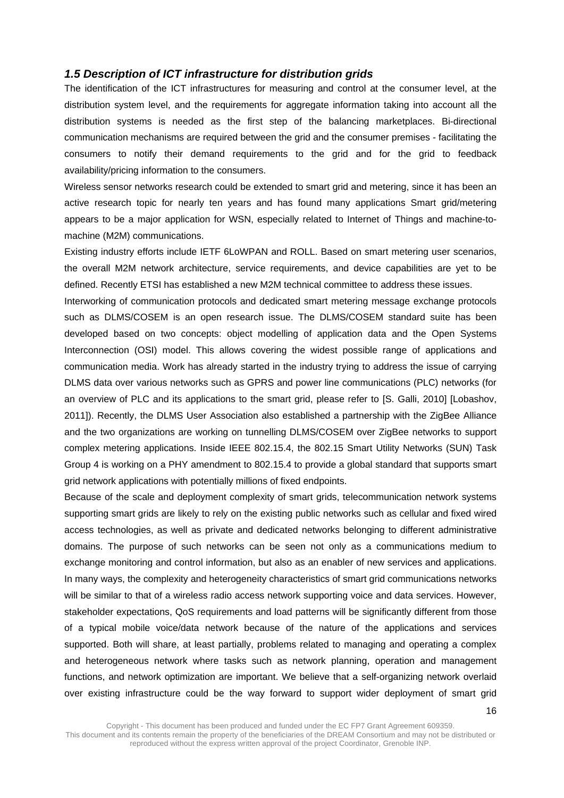#### *1.5 Description of ICT infrastructure for distribution grids*

The identification of the ICT infrastructures for measuring and control at the consumer level, at the distribution system level, and the requirements for aggregate information taking into account all the distribution systems is needed as the first step of the balancing marketplaces. Bi-directional communication mechanisms are required between the grid and the consumer premises - facilitating the consumers to notify their demand requirements to the grid and for the grid to feedback availability/pricing information to the consumers.

Wireless sensor networks research could be extended to smart grid and metering, since it has been an active research topic for nearly ten years and has found many applications Smart grid/metering appears to be a major application for WSN, especially related to Internet of Things and machine-tomachine (M2M) communications.

Existing industry efforts include IETF 6LoWPAN and ROLL. Based on smart metering user scenarios, the overall M2M network architecture, service requirements, and device capabilities are yet to be defined. Recently ETSI has established a new M2M technical committee to address these issues.

Interworking of communication protocols and dedicated smart metering message exchange protocols such as DLMS/COSEM is an open research issue. The DLMS/COSEM standard suite has been developed based on two concepts: object modelling of application data and the Open Systems Interconnection (OSI) model. This allows covering the widest possible range of applications and communication media. Work has already started in the industry trying to address the issue of carrying DLMS data over various networks such as GPRS and power line communications (PLC) networks (for an overview of PLC and its applications to the smart grid, please refer to [S. Galli, 2010] [Lobashov, 2011]). Recently, the DLMS User Association also established a partnership with the ZigBee Alliance and the two organizations are working on tunnelling DLMS/COSEM over ZigBee networks to support complex metering applications. Inside IEEE 802.15.4, the 802.15 Smart Utility Networks (SUN) Task Group 4 is working on a PHY amendment to 802.15.4 to provide a global standard that supports smart grid network applications with potentially millions of fixed endpoints.

Because of the scale and deployment complexity of smart grids, telecommunication network systems supporting smart grids are likely to rely on the existing public networks such as cellular and fixed wired access technologies, as well as private and dedicated networks belonging to different administrative domains. The purpose of such networks can be seen not only as a communications medium to exchange monitoring and control information, but also as an enabler of new services and applications. In many ways, the complexity and heterogeneity characteristics of smart grid communications networks will be similar to that of a wireless radio access network supporting voice and data services. However, stakeholder expectations, QoS requirements and load patterns will be significantly different from those of a typical mobile voice/data network because of the nature of the applications and services supported. Both will share, at least partially, problems related to managing and operating a complex and heterogeneous network where tasks such as network planning, operation and management functions, and network optimization are important. We believe that a self-organizing network overlaid over existing infrastructure could be the way forward to support wider deployment of smart grid

Copyright - This document has been produced and funded under the EC FP7 Grant Agreement 609359. This document and its contents remain the property of the beneficiaries of the DREAM Consortium and may not be distributed or reproduced without the express written approval of the project Coordinator, Grenoble INP.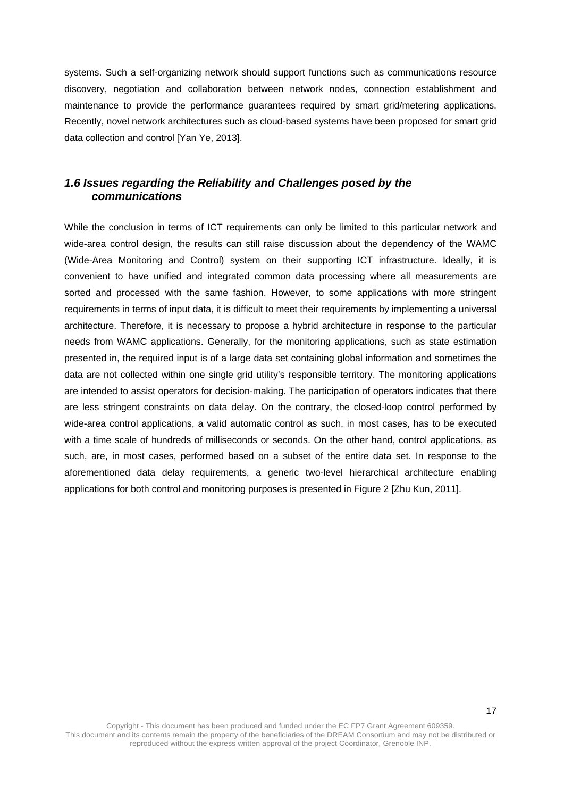systems. Such a self-organizing network should support functions such as communications resource discovery, negotiation and collaboration between network nodes, connection establishment and maintenance to provide the performance guarantees required by smart grid/metering applications. Recently, novel network architectures such as cloud-based systems have been proposed for smart grid data collection and control [Yan Ye, 2013].

### *1.6 Issues regarding the Reliability and Challenges posed by the communications*

While the conclusion in terms of ICT requirements can only be limited to this particular network and wide-area control design, the results can still raise discussion about the dependency of the WAMC (Wide-Area Monitoring and Control) system on their supporting ICT infrastructure. Ideally, it is convenient to have unified and integrated common data processing where all measurements are sorted and processed with the same fashion. However, to some applications with more stringent requirements in terms of input data, it is difficult to meet their requirements by implementing a universal architecture. Therefore, it is necessary to propose a hybrid architecture in response to the particular needs from WAMC applications. Generally, for the monitoring applications, such as state estimation presented in, the required input is of a large data set containing global information and sometimes the data are not collected within one single grid utility's responsible territory. The monitoring applications are intended to assist operators for decision-making. The participation of operators indicates that there are less stringent constraints on data delay. On the contrary, the closed-loop control performed by wide-area control applications, a valid automatic control as such, in most cases, has to be executed with a time scale of hundreds of milliseconds or seconds. On the other hand, control applications, as such, are, in most cases, performed based on a subset of the entire data set. In response to the aforementioned data delay requirements, a generic two-level hierarchical architecture enabling applications for both control and monitoring purposes is presented in Figure 2 [Zhu Kun, 2011].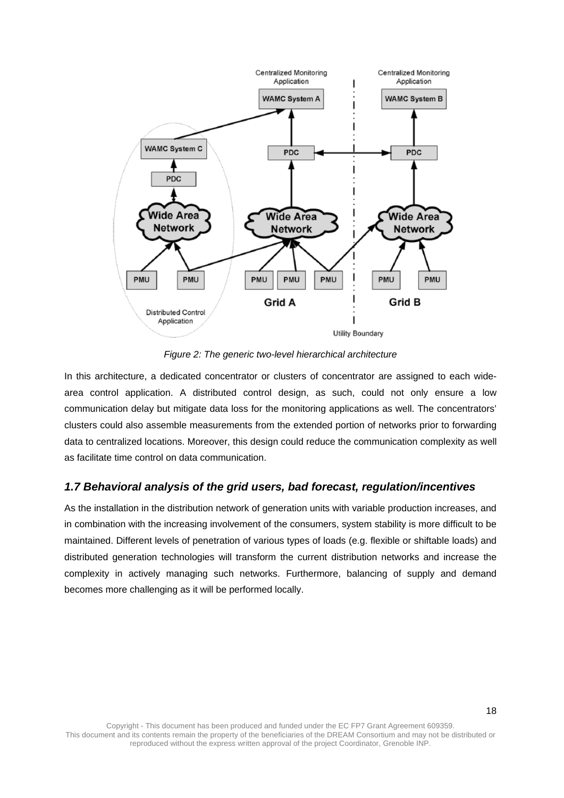

*Figure 2: The generic two-level hierarchical architecture* 

In this architecture, a dedicated concentrator or clusters of concentrator are assigned to each widearea control application. A distributed control design, as such, could not only ensure a low communication delay but mitigate data loss for the monitoring applications as well. The concentrators' clusters could also assemble measurements from the extended portion of networks prior to forwarding data to centralized locations. Moreover, this design could reduce the communication complexity as well as facilitate time control on data communication.

### *1.7 Behavioral analysis of the grid users, bad forecast, regulation/incentives*

As the installation in the distribution network of generation units with variable production increases, and in combination with the increasing involvement of the consumers, system stability is more difficult to be maintained. Different levels of penetration of various types of loads (e.g. flexible or shiftable loads) and distributed generation technologies will transform the current distribution networks and increase the complexity in actively managing such networks. Furthermore, balancing of supply and demand becomes more challenging as it will be performed locally.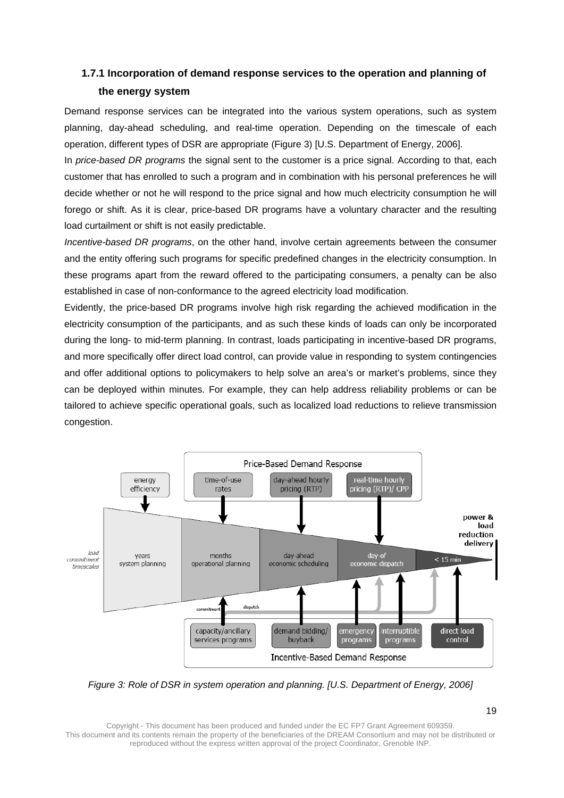## **1.7.1 Incorporation of demand response services to the operation and planning of the energy system**

Demand response services can be integrated into the various system operations, such as system planning, day-ahead scheduling, and real-time operation. Depending on the timescale of each operation, different types of DSR are appropriate (Figure 3) [U.S. Department of Energy, 2006].

In *price-based DR programs* the signal sent to the customer is a price signal. According to that, each customer that has enrolled to such a program and in combination with his personal preferences he will decide whether or not he will respond to the price signal and how much electricity consumption he will forego or shift. As it is clear, price-based DR programs have a voluntary character and the resulting load curtailment or shift is not easily predictable.

*Incentive-based DR programs*, on the other hand, involve certain agreements between the consumer and the entity offering such programs for specific predefined changes in the electricity consumption. In these programs apart from the reward offered to the participating consumers, a penalty can be also established in case of non-conformance to the agreed electricity load modification.

Evidently, the price-based DR programs involve high risk regarding the achieved modification in the electricity consumption of the participants, and as such these kinds of loads can only be incorporated during the long- to mid-term planning. In contrast, loads participating in incentive-based DR programs, and more specifically offer direct load control, can provide value in responding to system contingencies and offer additional options to policymakers to help solve an area's or market's problems, since they can be deployed within minutes. For example, they can help address reliability problems or can be tailored to achieve specific operational goals, such as localized load reductions to relieve transmission congestion.



*Figure 3: Role of DSR in system operation and planning. [U.S. Department of Energy, 2006]* 

Copyright - This document has been produced and funded under the EC FP7 Grant Agreement 609359. This document and its contents remain the property of the beneficiaries of the DREAM Consortium and may not be distributed or reproduced without the express written approval of the project Coordinator, Grenoble INP.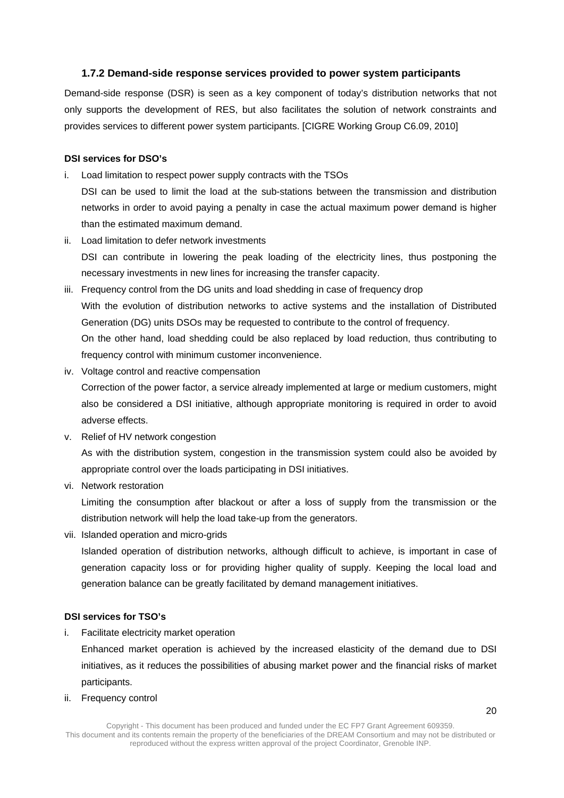### **1.7.2 Demand-side response services provided to power system participants**

Demand-side response (DSR) is seen as a key component of today's distribution networks that not only supports the development of RES, but also facilitates the solution of network constraints and provides services to different power system participants. [CIGRE Working Group C6.09, 2010]

### **DSI services for DSO's**

i. Load limitation to respect power supply contracts with the TSOs

DSI can be used to limit the load at the sub-stations between the transmission and distribution networks in order to avoid paying a penalty in case the actual maximum power demand is higher than the estimated maximum demand.

- ii. Load limitation to defer network investments DSI can contribute in lowering the peak loading of the electricity lines, thus postponing the necessary investments in new lines for increasing the transfer capacity.
- iii. Frequency control from the DG units and load shedding in case of frequency drop With the evolution of distribution networks to active systems and the installation of Distributed Generation (DG) units DSOs may be requested to contribute to the control of frequency. On the other hand, load shedding could be also replaced by load reduction, thus contributing to frequency control with minimum customer inconvenience.
- iv. Voltage control and reactive compensation

Correction of the power factor, a service already implemented at large or medium customers, might also be considered a DSI initiative, although appropriate monitoring is required in order to avoid adverse effects.

v. Relief of HV network congestion

As with the distribution system, congestion in the transmission system could also be avoided by appropriate control over the loads participating in DSI initiatives.

vi. Network restoration

Limiting the consumption after blackout or after a loss of supply from the transmission or the distribution network will help the load take-up from the generators.

vii. Islanded operation and micro-grids

Islanded operation of distribution networks, although difficult to achieve, is important in case of generation capacity loss or for providing higher quality of supply. Keeping the local load and generation balance can be greatly facilitated by demand management initiatives.

#### **DSI services for TSO's**

i. Facilitate electricity market operation

Enhanced market operation is achieved by the increased elasticity of the demand due to DSI initiatives, as it reduces the possibilities of abusing market power and the financial risks of market participants.

ii. Frequency control

Copyright - This document has been produced and funded under the EC FP7 Grant Agreement 609359. This document and its contents remain the property of the beneficiaries of the DREAM Consortium and may not be distributed or reproduced without the express written approval of the project Coordinator, Grenoble INP.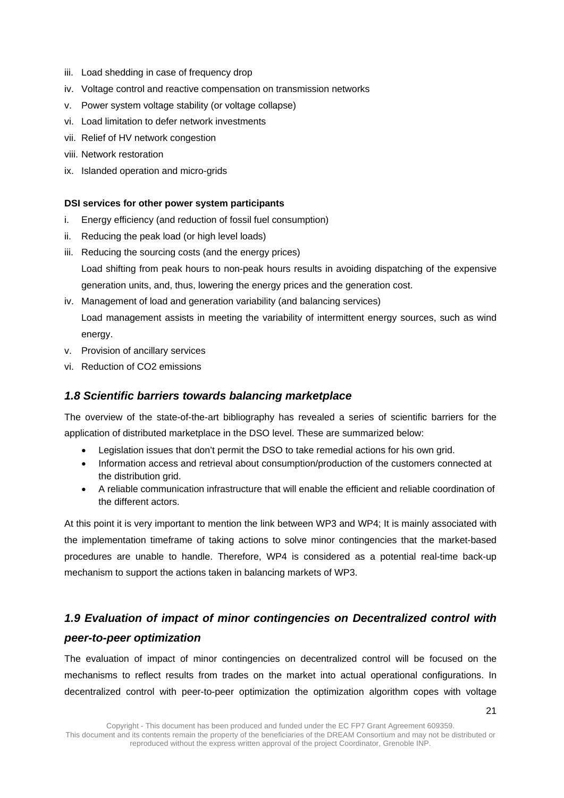- iii. Load shedding in case of frequency drop
- iv. Voltage control and reactive compensation on transmission networks
- v. Power system voltage stability (or voltage collapse)
- vi. Load limitation to defer network investments
- vii. Relief of HV network congestion
- viii. Network restoration
- ix. Islanded operation and micro-grids

#### **DSI services for other power system participants**

- i. Energy efficiency (and reduction of fossil fuel consumption)
- ii. Reducing the peak load (or high level loads)
- iii. Reducing the sourcing costs (and the energy prices)

Load shifting from peak hours to non-peak hours results in avoiding dispatching of the expensive generation units, and, thus, lowering the energy prices and the generation cost.

- iv. Management of load and generation variability (and balancing services) Load management assists in meeting the variability of intermittent energy sources, such as wind energy.
- v. Provision of ancillary services
- vi. Reduction of CO2 emissions

### *1.8 Scientific barriers towards balancing marketplace*

The overview of the state-of-the-art bibliography has revealed a series of scientific barriers for the application of distributed marketplace in the DSO level. These are summarized below:

- Legislation issues that don't permit the DSO to take remedial actions for his own grid.
- Information access and retrieval about consumption/production of the customers connected at the distribution grid.
- A reliable communication infrastructure that will enable the efficient and reliable coordination of the different actors.

At this point it is very important to mention the link between WP3 and WP4; It is mainly associated with the implementation timeframe of taking actions to solve minor contingencies that the market-based procedures are unable to handle. Therefore, WP4 is considered as a potential real-time back-up mechanism to support the actions taken in balancing markets of WP3.

## *1.9 Evaluation of impact of minor contingencies on Decentralized control with peer-to-peer optimization*

The evaluation of impact of minor contingencies on decentralized control will be focused on the mechanisms to reflect results from trades on the market into actual operational configurations. In decentralized control with peer-to-peer optimization the optimization algorithm copes with voltage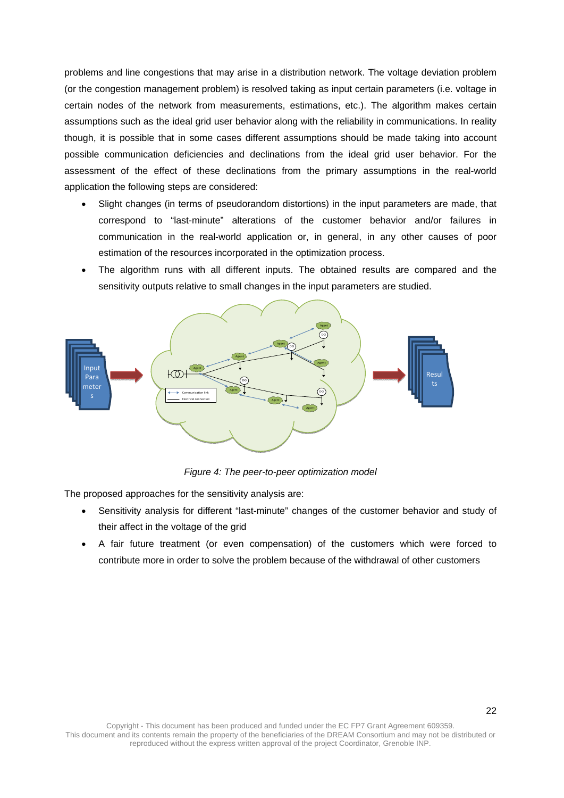problems and line congestions that may arise in a distribution network. The voltage deviation problem (or the congestion management problem) is resolved taking as input certain parameters (i.e. voltage in certain nodes of the network from measurements, estimations, etc.). The algorithm makes certain assumptions such as the ideal grid user behavior along with the reliability in communications. In reality though, it is possible that in some cases different assumptions should be made taking into account possible communication deficiencies and declinations from the ideal grid user behavior. For the assessment of the effect of these declinations from the primary assumptions in the real-world application the following steps are considered:

- Slight changes (in terms of pseudorandom distortions) in the input parameters are made, that correspond to "last-minute" alterations of the customer behavior and/or failures in communication in the real-world application or, in general, in any other causes of poor estimation of the resources incorporated in the optimization process.
- The algorithm runs with all different inputs. The obtained results are compared and the sensitivity outputs relative to small changes in the input parameters are studied.



*Figure 4: The peer-to-peer optimization model* 

The proposed approaches for the sensitivity analysis are:

- Sensitivity analysis for different "last-minute" changes of the customer behavior and study of their affect in the voltage of the grid
- A fair future treatment (or even compensation) of the customers which were forced to contribute more in order to solve the problem because of the withdrawal of other customers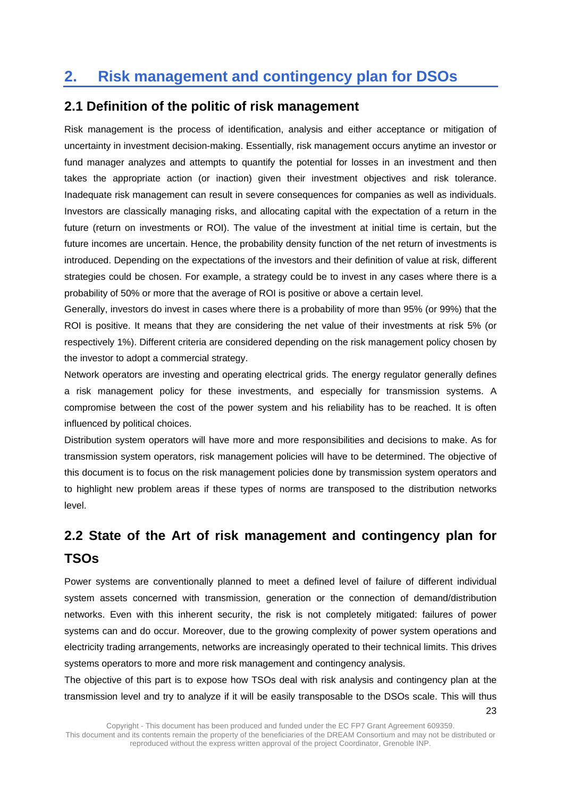# **2. Risk management and contingency plan for DSOs**

## **2.1 Definition of the politic of risk management**

Risk management is the process of identification, analysis and either acceptance or mitigation of uncertainty in investment decision-making. Essentially, risk management occurs anytime an investor or fund manager analyzes and attempts to quantify the potential for losses in an investment and then takes the appropriate action (or inaction) given their investment objectives and risk tolerance. Inadequate risk management can result in severe consequences for companies as well as individuals. Investors are classically managing risks, and allocating capital with the expectation of a return in the future (return on investments or ROI). The value of the investment at initial time is certain, but the future incomes are uncertain. Hence, the probability density function of the net return of investments is introduced. Depending on the expectations of the investors and their definition of value at risk, different strategies could be chosen. For example, a strategy could be to invest in any cases where there is a probability of 50% or more that the average of ROI is positive or above a certain level.

Generally, investors do invest in cases where there is a probability of more than 95% (or 99%) that the ROI is positive. It means that they are considering the net value of their investments at risk 5% (or respectively 1%). Different criteria are considered depending on the risk management policy chosen by the investor to adopt a commercial strategy.

Network operators are investing and operating electrical grids. The energy regulator generally defines a risk management policy for these investments, and especially for transmission systems. A compromise between the cost of the power system and his reliability has to be reached. It is often influenced by political choices.

Distribution system operators will have more and more responsibilities and decisions to make. As for transmission system operators, risk management policies will have to be determined. The objective of this document is to focus on the risk management policies done by transmission system operators and to highlight new problem areas if these types of norms are transposed to the distribution networks level.

# **2.2 State of the Art of risk management and contingency plan for TSOs**

Power systems are conventionally planned to meet a defined level of failure of different individual system assets concerned with transmission, generation or the connection of demand/distribution networks. Even with this inherent security, the risk is not completely mitigated: failures of power systems can and do occur. Moreover, due to the growing complexity of power system operations and electricity trading arrangements, networks are increasingly operated to their technical limits. This drives systems operators to more and more risk management and contingency analysis.

23 The objective of this part is to expose how TSOs deal with risk analysis and contingency plan at the transmission level and try to analyze if it will be easily transposable to the DSOs scale. This will thus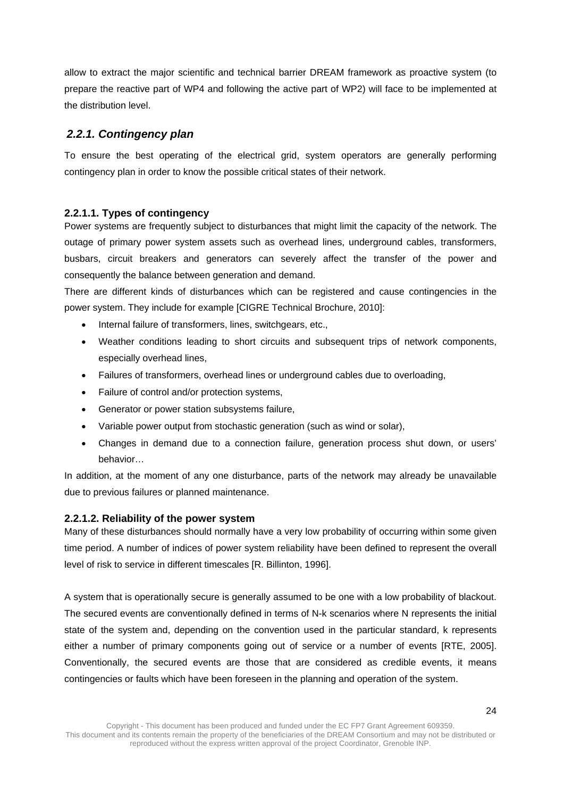allow to extract the major scientific and technical barrier DREAM framework as proactive system (to prepare the reactive part of WP4 and following the active part of WP2) will face to be implemented at the distribution level.

### *2.2.1. Contingency plan*

To ensure the best operating of the electrical grid, system operators are generally performing contingency plan in order to know the possible critical states of their network.

### **2.2.1.1. Types of contingency**

Power systems are frequently subject to disturbances that might limit the capacity of the network. The outage of primary power system assets such as overhead lines, underground cables, transformers, busbars, circuit breakers and generators can severely affect the transfer of the power and consequently the balance between generation and demand.

There are different kinds of disturbances which can be registered and cause contingencies in the power system. They include for example [CIGRE Technical Brochure, 2010]:

- Internal failure of transformers, lines, switchgears, etc.,
- Weather conditions leading to short circuits and subsequent trips of network components, especially overhead lines,
- Failures of transformers, overhead lines or underground cables due to overloading,
- Failure of control and/or protection systems,
- Generator or power station subsystems failure,
- Variable power output from stochastic generation (such as wind or solar),
- Changes in demand due to a connection failure, generation process shut down, or users' behavior…

In addition, at the moment of any one disturbance, parts of the network may already be unavailable due to previous failures or planned maintenance.

#### **2.2.1.2. Reliability of the power system**

Many of these disturbances should normally have a very low probability of occurring within some given time period. A number of indices of power system reliability have been defined to represent the overall level of risk to service in different timescales [R. Billinton, 1996].

A system that is operationally secure is generally assumed to be one with a low probability of blackout. The secured events are conventionally defined in terms of N-k scenarios where N represents the initial state of the system and, depending on the convention used in the particular standard, k represents either a number of primary components going out of service or a number of events [RTE, 2005]. Conventionally, the secured events are those that are considered as credible events, it means contingencies or faults which have been foreseen in the planning and operation of the system.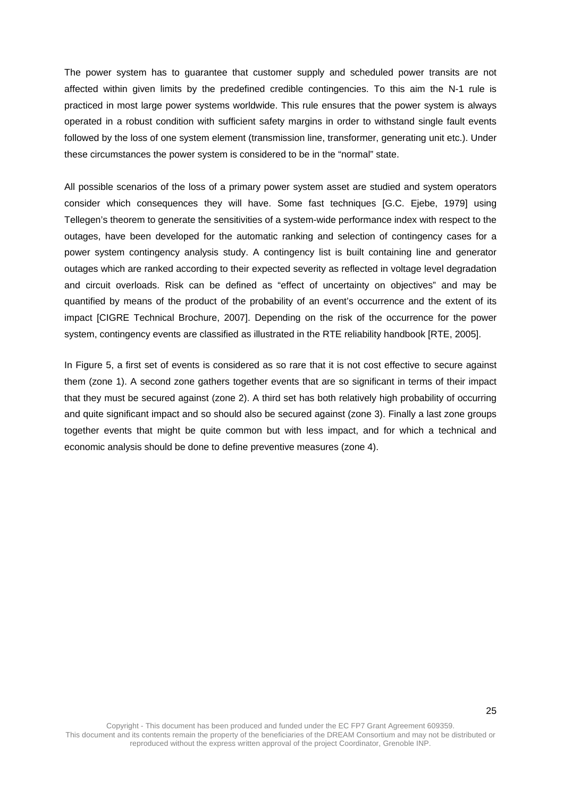The power system has to guarantee that customer supply and scheduled power transits are not affected within given limits by the predefined credible contingencies. To this aim the N-1 rule is practiced in most large power systems worldwide. This rule ensures that the power system is always operated in a robust condition with sufficient safety margins in order to withstand single fault events followed by the loss of one system element (transmission line, transformer, generating unit etc.). Under these circumstances the power system is considered to be in the "normal" state.

All possible scenarios of the loss of a primary power system asset are studied and system operators consider which consequences they will have. Some fast techniques [G.C. Ejebe, 1979] using Tellegen's theorem to generate the sensitivities of a system-wide performance index with respect to the outages, have been developed for the automatic ranking and selection of contingency cases for a power system contingency analysis study. A contingency list is built containing line and generator outages which are ranked according to their expected severity as reflected in voltage level degradation and circuit overloads. Risk can be defined as "effect of uncertainty on objectives" and may be quantified by means of the product of the probability of an event's occurrence and the extent of its impact [CIGRE Technical Brochure, 2007]. Depending on the risk of the occurrence for the power system, contingency events are classified as illustrated in the RTE reliability handbook [RTE, 2005].

In Figure 5, a first set of events is considered as so rare that it is not cost effective to secure against them (zone 1). A second zone gathers together events that are so significant in terms of their impact that they must be secured against (zone 2). A third set has both relatively high probability of occurring and quite significant impact and so should also be secured against (zone 3). Finally a last zone groups together events that might be quite common but with less impact, and for which a technical and economic analysis should be done to define preventive measures (zone 4).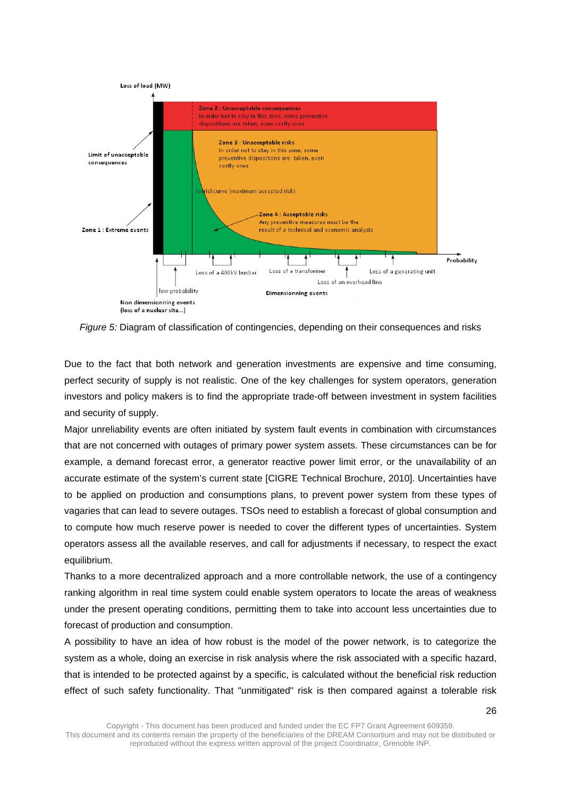

*Figure 5:* Diagram of classification of contingencies, depending on their consequences and risks

Due to the fact that both network and generation investments are expensive and time consuming, perfect security of supply is not realistic. One of the key challenges for system operators, generation investors and policy makers is to find the appropriate trade-off between investment in system facilities and security of supply.

Major unreliability events are often initiated by system fault events in combination with circumstances that are not concerned with outages of primary power system assets. These circumstances can be for example, a demand forecast error, a generator reactive power limit error, or the unavailability of an accurate estimate of the system's current state [CIGRE Technical Brochure, 2010]. Uncertainties have to be applied on production and consumptions plans, to prevent power system from these types of vagaries that can lead to severe outages. TSOs need to establish a forecast of global consumption and to compute how much reserve power is needed to cover the different types of uncertainties. System operators assess all the available reserves, and call for adjustments if necessary, to respect the exact equilibrium.

Thanks to a more decentralized approach and a more controllable network, the use of a contingency ranking algorithm in real time system could enable system operators to locate the areas of weakness under the present operating conditions, permitting them to take into account less uncertainties due to forecast of production and consumption.

A possibility to have an idea of how robust is the model of the power network, is to categorize the system as a whole, doing an exercise in risk analysis where the risk associated with a specific hazard, that is intended to be protected against by a specific, is calculated without the beneficial risk reduction effect of such safety functionality. That "unmitigated" risk is then compared against a tolerable risk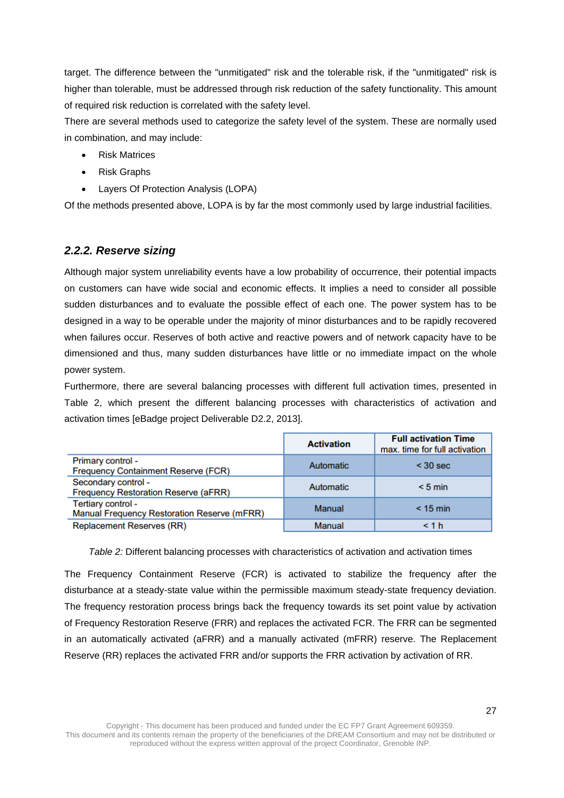target. The difference between the "unmitigated" risk and the tolerable risk, if the "unmitigated" risk is higher than tolerable, must be addressed through risk reduction of the safety functionality. This amount of required risk reduction is correlated with the safety level.

There are several methods used to categorize the safety level of the system. These are normally used in combination, and may include:

- Risk Matrices
- Risk Graphs
- Layers Of Protection Analysis (LOPA)

Of the methods presented above, LOPA is by far the most commonly used by large industrial facilities.

### *2.2.2. Reserve sizing*

Although major system unreliability events have a low probability of occurrence, their potential impacts on customers can have wide social and economic effects. It implies a need to consider all possible sudden disturbances and to evaluate the possible effect of each one. The power system has to be designed in a way to be operable under the majority of minor disturbances and to be rapidly recovered when failures occur. Reserves of both active and reactive powers and of network capacity have to be dimensioned and thus, many sudden disturbances have little or no immediate impact on the whole power system.

Furthermore, there are several balancing processes with different full activation times, presented in Table 2, which present the different balancing processes with characteristics of activation and activation times [eBadge project Deliverable D2.2, 2013].

|                                                                    | <b>Activation</b> | <b>Full activation Time</b><br>max, time for full activation |
|--------------------------------------------------------------------|-------------------|--------------------------------------------------------------|
| Primary control -<br><b>Frequency Containment Reserve (FCR)</b>    | Automatic         | $<$ 30 sec                                                   |
| Secondary control -<br><b>Frequency Restoration Reserve (aFRR)</b> | Automatic         | $< 5$ min                                                    |
| Tertiary control -<br>Manual Frequency Restoration Reserve (mFRR)  | Manual            | $< 15$ min                                                   |
| <b>Replacement Reserves (RR)</b>                                   | <b>Manual</b>     | < 1 h                                                        |

#### *Table 2:* Different balancing processes with characteristics of activation and activation times

The Frequency Containment Reserve (FCR) is activated to stabilize the frequency after the disturbance at a steady-state value within the permissible maximum steady-state frequency deviation. The frequency restoration process brings back the frequency towards its set point value by activation of Frequency Restoration Reserve (FRR) and replaces the activated FCR. The FRR can be segmented in an automatically activated (aFRR) and a manually activated (mFRR) reserve. The Replacement Reserve (RR) replaces the activated FRR and/or supports the FRR activation by activation of RR.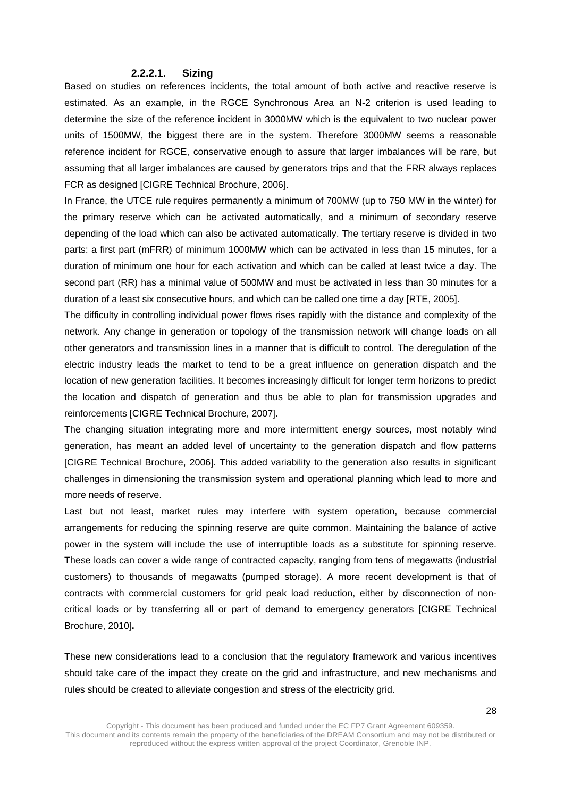#### **2.2.2.1. Sizing**

Based on studies on references incidents, the total amount of both active and reactive reserve is estimated. As an example, in the RGCE Synchronous Area an N-2 criterion is used leading to determine the size of the reference incident in 3000MW which is the equivalent to two nuclear power units of 1500MW, the biggest there are in the system. Therefore 3000MW seems a reasonable reference incident for RGCE, conservative enough to assure that larger imbalances will be rare, but assuming that all larger imbalances are caused by generators trips and that the FRR always replaces FCR as designed [CIGRE Technical Brochure, 2006].

In France, the UTCE rule requires permanently a minimum of 700MW (up to 750 MW in the winter) for the primary reserve which can be activated automatically, and a minimum of secondary reserve depending of the load which can also be activated automatically. The tertiary reserve is divided in two parts: a first part (mFRR) of minimum 1000MW which can be activated in less than 15 minutes, for a duration of minimum one hour for each activation and which can be called at least twice a day. The second part (RR) has a minimal value of 500MW and must be activated in less than 30 minutes for a duration of a least six consecutive hours, and which can be called one time a day [RTE, 2005].

The difficulty in controlling individual power flows rises rapidly with the distance and complexity of the network. Any change in generation or topology of the transmission network will change loads on all other generators and transmission lines in a manner that is difficult to control. The deregulation of the electric industry leads the market to tend to be a great influence on generation dispatch and the location of new generation facilities. It becomes increasingly difficult for longer term horizons to predict the location and dispatch of generation and thus be able to plan for transmission upgrades and reinforcements [CIGRE Technical Brochure, 2007].

The changing situation integrating more and more intermittent energy sources, most notably wind generation, has meant an added level of uncertainty to the generation dispatch and flow patterns [CIGRE Technical Brochure, 2006]. This added variability to the generation also results in significant challenges in dimensioning the transmission system and operational planning which lead to more and more needs of reserve.

Last but not least, market rules may interfere with system operation, because commercial arrangements for reducing the spinning reserve are quite common. Maintaining the balance of active power in the system will include the use of interruptible loads as a substitute for spinning reserve. These loads can cover a wide range of contracted capacity, ranging from tens of megawatts (industrial customers) to thousands of megawatts (pumped storage). A more recent development is that of contracts with commercial customers for grid peak load reduction, either by disconnection of noncritical loads or by transferring all or part of demand to emergency generators [CIGRE Technical Brochure, 2010]**.**

These new considerations lead to a conclusion that the regulatory framework and various incentives should take care of the impact they create on the grid and infrastructure, and new mechanisms and rules should be created to alleviate congestion and stress of the electricity grid.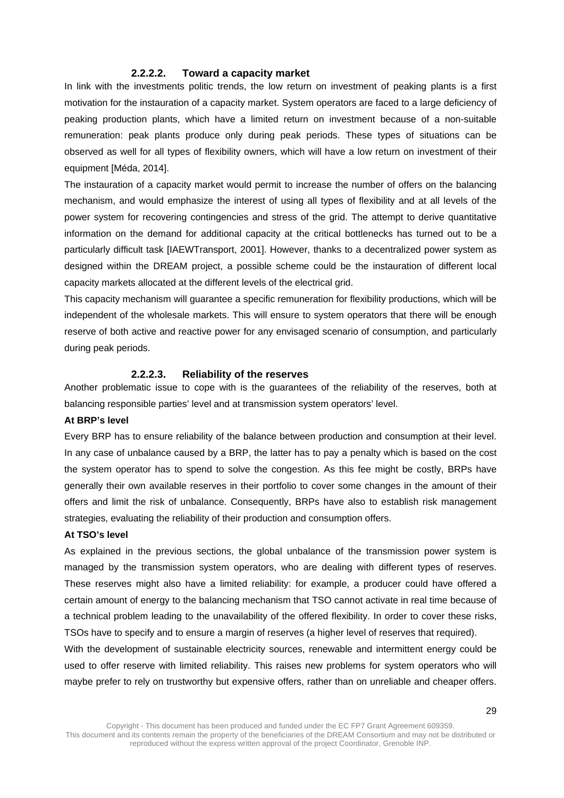#### **2.2.2.2. Toward a capacity market**

In link with the investments politic trends, the low return on investment of peaking plants is a first motivation for the instauration of a capacity market. System operators are faced to a large deficiency of peaking production plants, which have a limited return on investment because of a non-suitable remuneration: peak plants produce only during peak periods. These types of situations can be observed as well for all types of flexibility owners, which will have a low return on investment of their equipment [Méda, 2014].

The instauration of a capacity market would permit to increase the number of offers on the balancing mechanism, and would emphasize the interest of using all types of flexibility and at all levels of the power system for recovering contingencies and stress of the grid. The attempt to derive quantitative information on the demand for additional capacity at the critical bottlenecks has turned out to be a particularly difficult task [IAEWTransport, 2001]. However, thanks to a decentralized power system as designed within the DREAM project, a possible scheme could be the instauration of different local capacity markets allocated at the different levels of the electrical grid.

This capacity mechanism will guarantee a specific remuneration for flexibility productions, which will be independent of the wholesale markets. This will ensure to system operators that there will be enough reserve of both active and reactive power for any envisaged scenario of consumption, and particularly during peak periods.

#### **2.2.2.3. Reliability of the reserves**

Another problematic issue to cope with is the guarantees of the reliability of the reserves, both at balancing responsible parties' level and at transmission system operators' level.

#### **At BRP's level**

Every BRP has to ensure reliability of the balance between production and consumption at their level. In any case of unbalance caused by a BRP, the latter has to pay a penalty which is based on the cost the system operator has to spend to solve the congestion. As this fee might be costly, BRPs have generally their own available reserves in their portfolio to cover some changes in the amount of their offers and limit the risk of unbalance. Consequently, BRPs have also to establish risk management strategies, evaluating the reliability of their production and consumption offers.

#### **At TSO's level**

As explained in the previous sections, the global unbalance of the transmission power system is managed by the transmission system operators, who are dealing with different types of reserves. These reserves might also have a limited reliability: for example, a producer could have offered a certain amount of energy to the balancing mechanism that TSO cannot activate in real time because of a technical problem leading to the unavailability of the offered flexibility. In order to cover these risks, TSOs have to specify and to ensure a margin of reserves (a higher level of reserves that required).

With the development of sustainable electricity sources, renewable and intermittent energy could be used to offer reserve with limited reliability. This raises new problems for system operators who will maybe prefer to rely on trustworthy but expensive offers, rather than on unreliable and cheaper offers.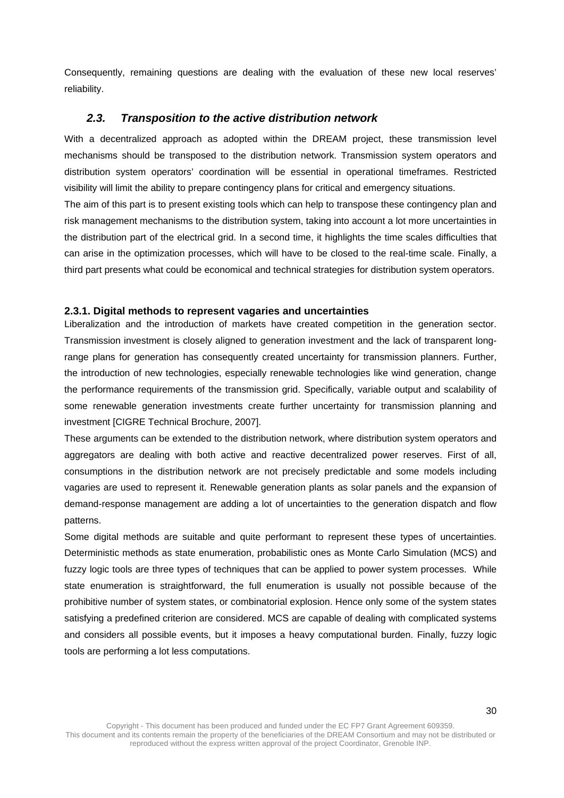Consequently, remaining questions are dealing with the evaluation of these new local reserves' reliability.

#### *2.3. Transposition to the active distribution network*

With a decentralized approach as adopted within the DREAM project, these transmission level mechanisms should be transposed to the distribution network. Transmission system operators and distribution system operators' coordination will be essential in operational timeframes. Restricted visibility will limit the ability to prepare contingency plans for critical and emergency situations.

The aim of this part is to present existing tools which can help to transpose these contingency plan and risk management mechanisms to the distribution system, taking into account a lot more uncertainties in the distribution part of the electrical grid. In a second time, it highlights the time scales difficulties that can arise in the optimization processes, which will have to be closed to the real-time scale. Finally, a third part presents what could be economical and technical strategies for distribution system operators.

#### **2.3.1. Digital methods to represent vagaries and uncertainties**

Liberalization and the introduction of markets have created competition in the generation sector. Transmission investment is closely aligned to generation investment and the lack of transparent longrange plans for generation has consequently created uncertainty for transmission planners. Further, the introduction of new technologies, especially renewable technologies like wind generation, change the performance requirements of the transmission grid. Specifically, variable output and scalability of some renewable generation investments create further uncertainty for transmission planning and investment [CIGRE Technical Brochure, 2007].

These arguments can be extended to the distribution network, where distribution system operators and aggregators are dealing with both active and reactive decentralized power reserves. First of all, consumptions in the distribution network are not precisely predictable and some models including vagaries are used to represent it. Renewable generation plants as solar panels and the expansion of demand-response management are adding a lot of uncertainties to the generation dispatch and flow patterns.

Some digital methods are suitable and quite performant to represent these types of uncertainties. Deterministic methods as state enumeration, probabilistic ones as Monte Carlo Simulation (MCS) and fuzzy logic tools are three types of techniques that can be applied to power system processes. While state enumeration is straightforward, the full enumeration is usually not possible because of the prohibitive number of system states, or combinatorial explosion. Hence only some of the system states satisfying a predefined criterion are considered. MCS are capable of dealing with complicated systems and considers all possible events, but it imposes a heavy computational burden. Finally, fuzzy logic tools are performing a lot less computations.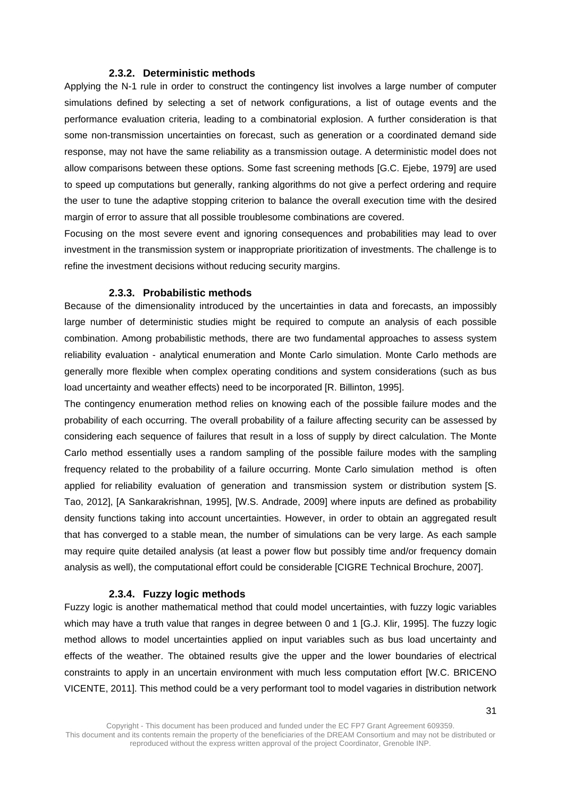#### **2.3.2. Deterministic methods**

Applying the N-1 rule in order to construct the contingency list involves a large number of computer simulations defined by selecting a set of network configurations, a list of outage events and the performance evaluation criteria, leading to a combinatorial explosion. A further consideration is that some non-transmission uncertainties on forecast, such as generation or a coordinated demand side response, may not have the same reliability as a transmission outage. A deterministic model does not allow comparisons between these options. Some fast screening methods [G.C. Ejebe, 1979] are used to speed up computations but generally, ranking algorithms do not give a perfect ordering and require the user to tune the adaptive stopping criterion to balance the overall execution time with the desired margin of error to assure that all possible troublesome combinations are covered.

Focusing on the most severe event and ignoring consequences and probabilities may lead to over investment in the transmission system or inappropriate prioritization of investments. The challenge is to refine the investment decisions without reducing security margins.

#### **2.3.3. Probabilistic methods**

Because of the dimensionality introduced by the uncertainties in data and forecasts, an impossibly large number of deterministic studies might be required to compute an analysis of each possible combination. Among probabilistic methods, there are two fundamental approaches to assess system reliability evaluation - analytical enumeration and Monte Carlo simulation. Monte Carlo methods are generally more flexible when complex operating conditions and system considerations (such as bus load uncertainty and weather effects) need to be incorporated [R. Billinton, 1995].

The contingency enumeration method relies on knowing each of the possible failure modes and the probability of each occurring. The overall probability of a failure affecting security can be assessed by considering each sequence of failures that result in a loss of supply by direct calculation. The Monte Carlo method essentially uses a random sampling of the possible failure modes with the sampling frequency related to the probability of a failure occurring. Monte Carlo simulation method is often applied for reliability evaluation of generation and transmission system or distribution system [S. Tao, 2012], [A Sankarakrishnan, 1995], [W.S. Andrade, 2009] where inputs are defined as probability density functions taking into account uncertainties. However, in order to obtain an aggregated result that has converged to a stable mean, the number of simulations can be very large. As each sample may require quite detailed analysis (at least a power flow but possibly time and/or frequency domain analysis as well), the computational effort could be considerable [CIGRE Technical Brochure, 2007].

#### **2.3.4. Fuzzy logic methods**

Fuzzy logic is another mathematical method that could model uncertainties, with fuzzy logic variables which may have a truth value that ranges in degree between 0 and 1 [G.J. Klir, 1995]. The fuzzy logic method allows to model uncertainties applied on input variables such as bus load uncertainty and effects of the weather. The obtained results give the upper and the lower boundaries of electrical constraints to apply in an uncertain environment with much less computation effort [W.C. BRICENO VICENTE, 2011]. This method could be a very performant tool to model vagaries in distribution network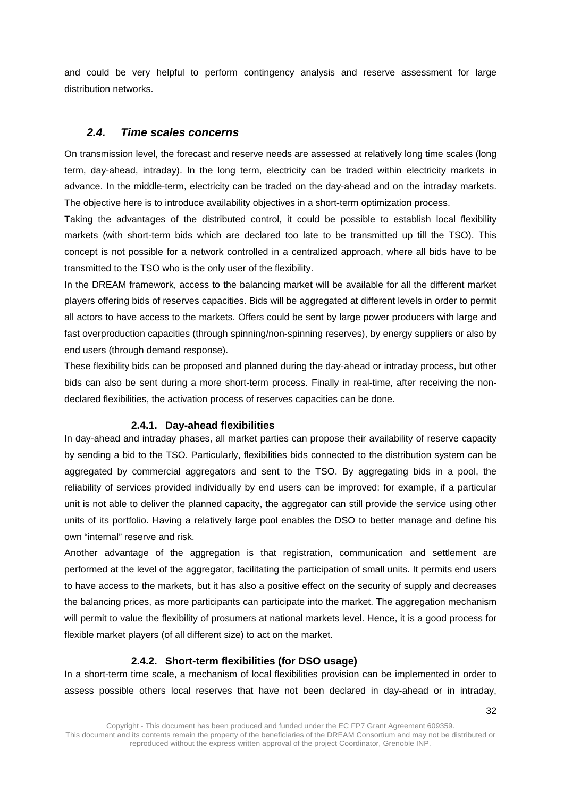and could be very helpful to perform contingency analysis and reserve assessment for large distribution networks.

### *2.4. Time scales concerns*

On transmission level, the forecast and reserve needs are assessed at relatively long time scales (long term, day-ahead, intraday). In the long term, electricity can be traded within electricity markets in advance. In the middle-term, electricity can be traded on the day-ahead and on the intraday markets. The objective here is to introduce availability objectives in a short-term optimization process.

Taking the advantages of the distributed control, it could be possible to establish local flexibility markets (with short-term bids which are declared too late to be transmitted up till the TSO). This concept is not possible for a network controlled in a centralized approach, where all bids have to be transmitted to the TSO who is the only user of the flexibility.

In the DREAM framework, access to the balancing market will be available for all the different market players offering bids of reserves capacities. Bids will be aggregated at different levels in order to permit all actors to have access to the markets. Offers could be sent by large power producers with large and fast overproduction capacities (through spinning/non-spinning reserves), by energy suppliers or also by end users (through demand response).

These flexibility bids can be proposed and planned during the day-ahead or intraday process, but other bids can also be sent during a more short-term process. Finally in real-time, after receiving the nondeclared flexibilities, the activation process of reserves capacities can be done.

#### **2.4.1. Day-ahead flexibilities**

In day-ahead and intraday phases, all market parties can propose their availability of reserve capacity by sending a bid to the TSO. Particularly, flexibilities bids connected to the distribution system can be aggregated by commercial aggregators and sent to the TSO. By aggregating bids in a pool, the reliability of services provided individually by end users can be improved: for example, if a particular unit is not able to deliver the planned capacity, the aggregator can still provide the service using other units of its portfolio. Having a relatively large pool enables the DSO to better manage and define his own "internal" reserve and risk.

Another advantage of the aggregation is that registration, communication and settlement are performed at the level of the aggregator, facilitating the participation of small units. It permits end users to have access to the markets, but it has also a positive effect on the security of supply and decreases the balancing prices, as more participants can participate into the market. The aggregation mechanism will permit to value the flexibility of prosumers at national markets level. Hence, it is a good process for flexible market players (of all different size) to act on the market.

#### **2.4.2. Short-term flexibilities (for DSO usage)**

In a short-term time scale, a mechanism of local flexibilities provision can be implemented in order to assess possible others local reserves that have not been declared in day-ahead or in intraday,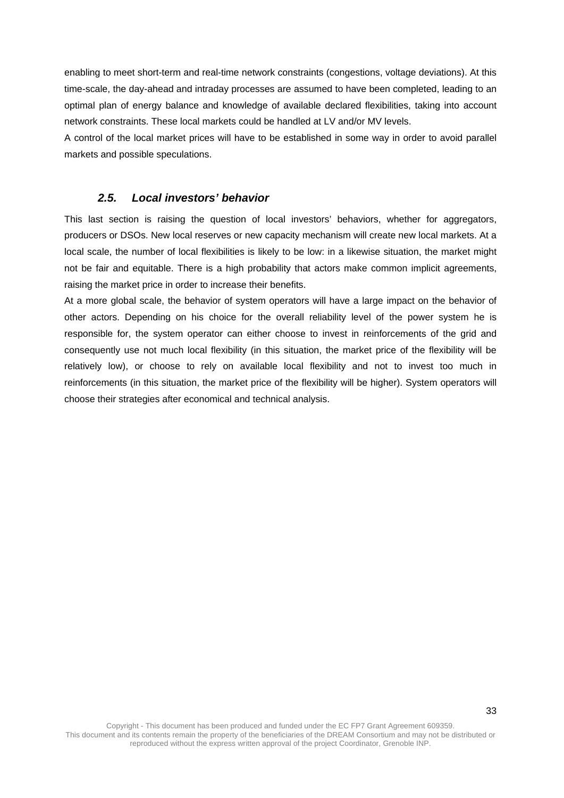enabling to meet short-term and real-time network constraints (congestions, voltage deviations). At this time-scale, the day-ahead and intraday processes are assumed to have been completed, leading to an optimal plan of energy balance and knowledge of available declared flexibilities, taking into account network constraints. These local markets could be handled at LV and/or MV levels.

A control of the local market prices will have to be established in some way in order to avoid parallel markets and possible speculations.

### *2.5. Local investors' behavior*

This last section is raising the question of local investors' behaviors, whether for aggregators, producers or DSOs. New local reserves or new capacity mechanism will create new local markets. At a local scale, the number of local flexibilities is likely to be low: in a likewise situation, the market might not be fair and equitable. There is a high probability that actors make common implicit agreements, raising the market price in order to increase their benefits.

At a more global scale, the behavior of system operators will have a large impact on the behavior of other actors. Depending on his choice for the overall reliability level of the power system he is responsible for, the system operator can either choose to invest in reinforcements of the grid and consequently use not much local flexibility (in this situation, the market price of the flexibility will be relatively low), or choose to rely on available local flexibility and not to invest too much in reinforcements (in this situation, the market price of the flexibility will be higher). System operators will choose their strategies after economical and technical analysis.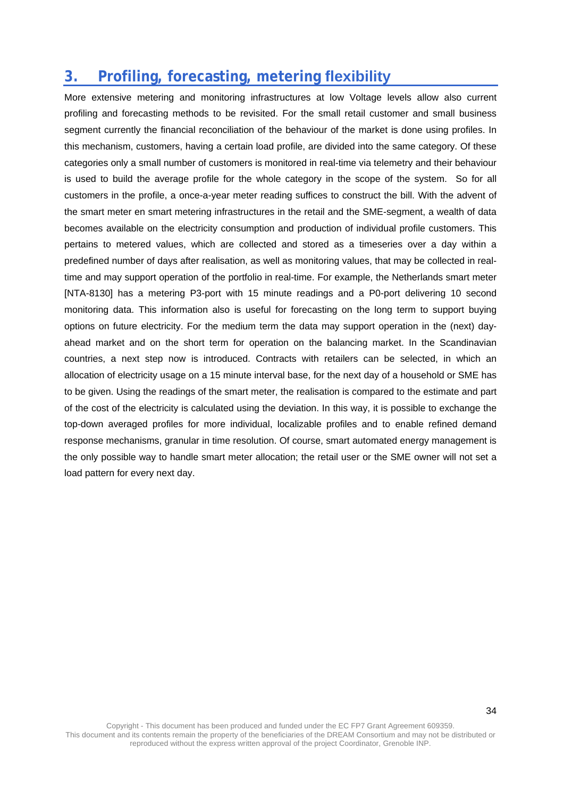# **3. Profiling, forecasting, metering flexibility**

More extensive metering and monitoring infrastructures at low Voltage levels allow also current profiling and forecasting methods to be revisited. For the small retail customer and small business segment currently the financial reconciliation of the behaviour of the market is done using profiles. In this mechanism, customers, having a certain load profile, are divided into the same category. Of these categories only a small number of customers is monitored in real-time via telemetry and their behaviour is used to build the average profile for the whole category in the scope of the system. So for all customers in the profile, a once-a-year meter reading suffices to construct the bill. With the advent of the smart meter en smart metering infrastructures in the retail and the SME-segment, a wealth of data becomes available on the electricity consumption and production of individual profile customers. This pertains to metered values, which are collected and stored as a timeseries over a day within a predefined number of days after realisation, as well as monitoring values, that may be collected in realtime and may support operation of the portfolio in real-time. For example, the Netherlands smart meter [NTA-8130] has a metering P3-port with 15 minute readings and a P0-port delivering 10 second monitoring data. This information also is useful for forecasting on the long term to support buying options on future electricity. For the medium term the data may support operation in the (next) dayahead market and on the short term for operation on the balancing market. In the Scandinavian countries, a next step now is introduced. Contracts with retailers can be selected, in which an allocation of electricity usage on a 15 minute interval base, for the next day of a household or SME has to be given. Using the readings of the smart meter, the realisation is compared to the estimate and part of the cost of the electricity is calculated using the deviation. In this way, it is possible to exchange the top-down averaged profiles for more individual, localizable profiles and to enable refined demand response mechanisms, granular in time resolution. Of course, smart automated energy management is the only possible way to handle smart meter allocation; the retail user or the SME owner will not set a load pattern for every next day.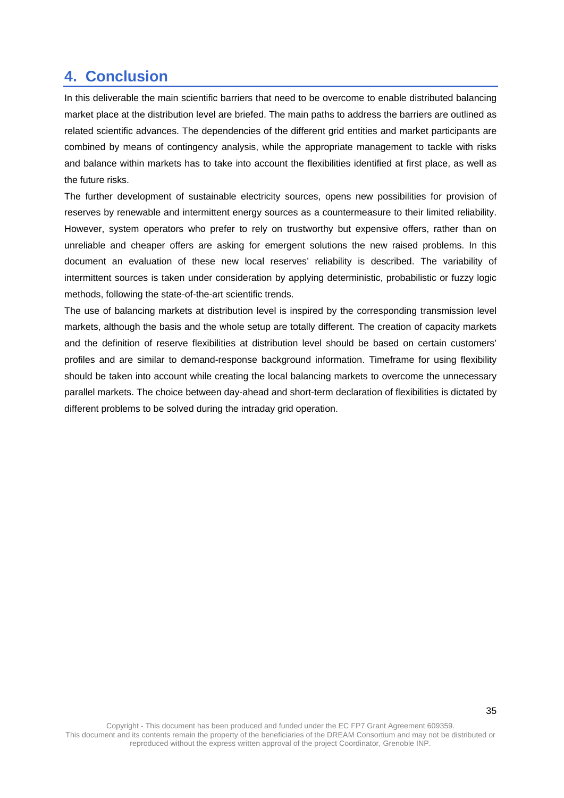# **4. Conclusion**

In this deliverable the main scientific barriers that need to be overcome to enable distributed balancing market place at the distribution level are briefed. The main paths to address the barriers are outlined as related scientific advances. The dependencies of the different grid entities and market participants are combined by means of contingency analysis, while the appropriate management to tackle with risks and balance within markets has to take into account the flexibilities identified at first place, as well as the future risks.

The further development of sustainable electricity sources, opens new possibilities for provision of reserves by renewable and intermittent energy sources as a countermeasure to their limited reliability. However, system operators who prefer to rely on trustworthy but expensive offers, rather than on unreliable and cheaper offers are asking for emergent solutions the new raised problems. In this document an evaluation of these new local reserves' reliability is described. The variability of intermittent sources is taken under consideration by applying deterministic, probabilistic or fuzzy logic methods, following the state-of-the-art scientific trends.

The use of balancing markets at distribution level is inspired by the corresponding transmission level markets, although the basis and the whole setup are totally different. The creation of capacity markets and the definition of reserve flexibilities at distribution level should be based on certain customers' profiles and are similar to demand-response background information. Timeframe for using flexibility should be taken into account while creating the local balancing markets to overcome the unnecessary parallel markets. The choice between day-ahead and short-term declaration of flexibilities is dictated by different problems to be solved during the intraday grid operation.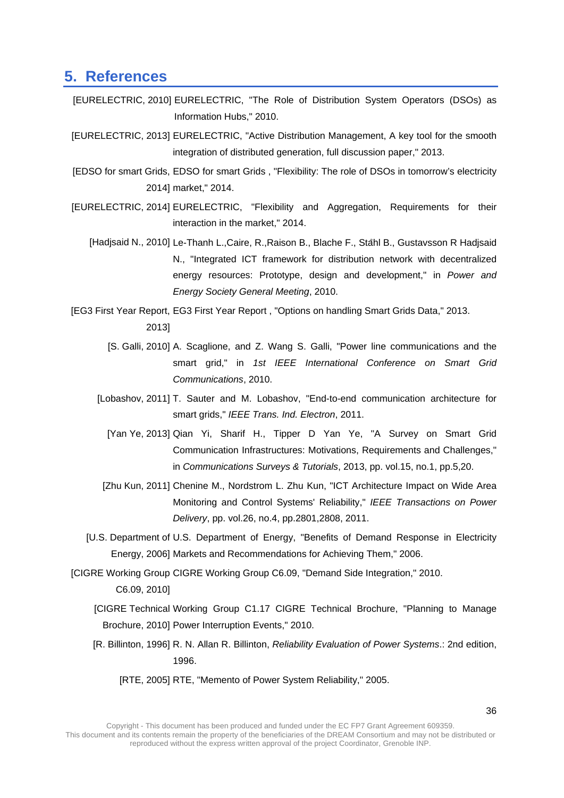## **5. References**

- [EURELECTRIC, 2010] EURELECTRIC, "The Role of Distribution System Operators (DSOs) as Information Hubs," 2010.
- [EURELECTRIC, 2013] EURELECTRIC, "Active Distribution Management, A key tool for the smooth integration of distributed generation, full discussion paper," 2013.
- [EDSO for smart Grids, EDSO for smart Grids , "Flexibility: The role of DSOs in tomorrow's electricity 2014] market," 2014.
- [EURELECTRIC, 2014] EURELECTRIC, "Flexibility and Aggregation, Requirements for their interaction in the market," 2014.
	- [Hadjsaid N., 2010] Le-Thanh L.,Caire, R.,Raison B., Blache F., Ståhl B., Gustavsson R Hadjsaid N., "Integrated ICT framework for distribution network with decentralized energy resources: Prototype, design and development," in *Power and Energy Society General Meeting*, 2010.

[EG3 First Year Report, EG3 First Year Report , "Options on handling Smart Grids Data," 2013. 2013]

- [S. Galli, 2010] A. Scaglione, and Z. Wang S. Galli, "Power line communications and the smart grid," in *1st IEEE International Conference on Smart Grid Communications*, 2010.
- [Lobashov, 2011] T. Sauter and M. Lobashov, "End-to-end communication architecture for smart grids," *IEEE Trans. Ind. Electron*, 2011.
	- [Yan Ye, 2013] Qian Yi, Sharif H., Tipper D Yan Ye, "A Survey on Smart Grid Communication Infrastructures: Motivations, Requirements and Challenges," in *Communications Surveys & Tutorials*, 2013, pp. vol.15, no.1, pp.5,20.
- [Zhu Kun, 2011] Chenine M., Nordstrom L. Zhu Kun, "ICT Architecture Impact on Wide Area Monitoring and Control Systems' Reliability," *IEEE Transactions on Power Delivery*, pp. vol.26, no.4, pp.2801,2808, 2011.
- [U.S. Department of U.S. Department of Energy, "Benefits of Demand Response in Electricity Energy, 2006] Markets and Recommendations for Achieving Them," 2006.

[CIGRE Working Group CIGRE Working Group C6.09, "Demand Side Integration," 2010. C6.09, 2010]

[CIGRE Technical Working Group C1.17 CIGRE Technical Brochure, "Planning to Manage Brochure, 2010] Power Interruption Events," 2010.

[R. Billinton, 1996] R. N. Allan R. Billinton, *Reliability Evaluation of Power Systems*.: 2nd edition, 1996.

[RTE, 2005] RTE, "Memento of Power System Reliability," 2005.